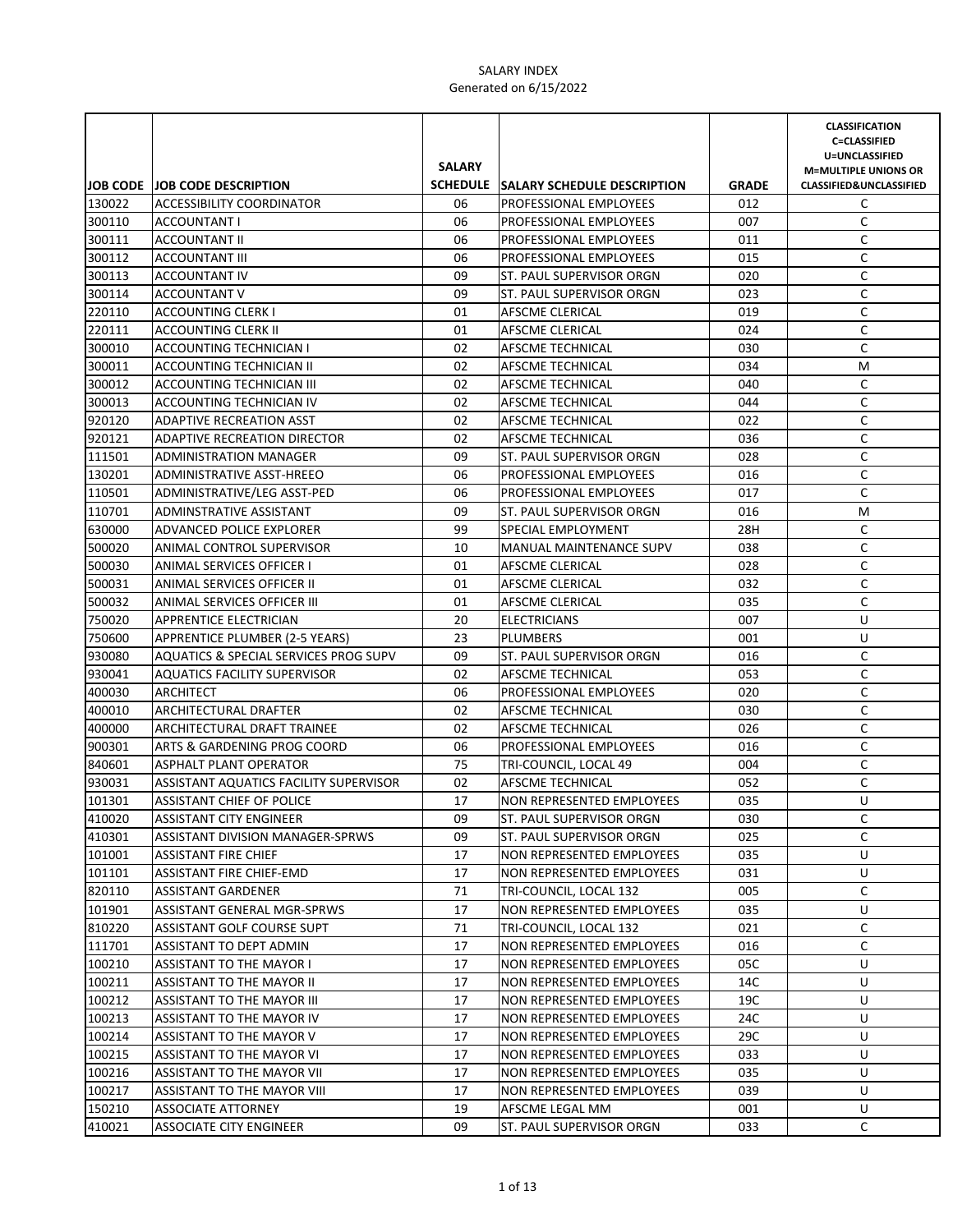|        |                                        | <b>SALARY</b> |                                      |              | <b>CLASSIFICATION</b><br><b>C=CLASSIFIED</b><br>U=UNCLASSIFIED<br><b>M=MULTIPLE UNIONS OR</b> |
|--------|----------------------------------------|---------------|--------------------------------------|--------------|-----------------------------------------------------------------------------------------------|
|        | JOB CODE JOB CODE DESCRIPTION          |               | SCHEDULE SALARY SCHEDULE DESCRIPTION | <b>GRADE</b> | <b>CLASSIFIED&amp;UNCLASSIFIED</b>                                                            |
| 130022 | ACCESSIBILITY COORDINATOR              | 06            | <b>PROFESSIONAL EMPLOYEES</b>        | 012          | C                                                                                             |
| 300110 | ACCOUNTANT I                           | 06            | <b>PROFESSIONAL EMPLOYEES</b>        | 007          | C                                                                                             |
| 300111 | <b>ACCOUNTANT II</b>                   | 06            | <b>PROFESSIONAL EMPLOYEES</b>        | 011          | C                                                                                             |
| 300112 | <b>ACCOUNTANT III</b>                  | 06            | <b>PROFESSIONAL EMPLOYEES</b>        | 015          | C                                                                                             |
| 300113 | ACCOUNTANT IV                          | 09            | ST. PAUL SUPERVISOR ORGN             | 020          | C                                                                                             |
| 300114 | <b>ACCOUNTANT V</b>                    | 09            | ST. PAUL SUPERVISOR ORGN             | 023          | C                                                                                             |
| 220110 | <b>ACCOUNTING CLERK I</b>              | 01            | AFSCME CLERICAL                      | 019          | C                                                                                             |
| 220111 | <b>ACCOUNTING CLERK II</b>             | 01            | AFSCME CLERICAL                      | 024          | C                                                                                             |
| 300010 | ACCOUNTING TECHNICIAN I                | 02            | AFSCME TECHNICAL                     | 030          | C                                                                                             |
| 300011 | ACCOUNTING TECHNICIAN II               | 02            | AFSCME TECHNICAL                     | 034          | M                                                                                             |
| 300012 | ACCOUNTING TECHNICIAN III              | 02            | AFSCME TECHNICAL                     | 040          | C                                                                                             |
| 300013 | ACCOUNTING TECHNICIAN IV               | 02            | AFSCME TECHNICAL                     | 044          | $\mathsf C$                                                                                   |
| 920120 | <b>ADAPTIVE RECREATION ASST</b>        | 02            | AFSCME TECHNICAL                     | 022          | $\mathsf C$                                                                                   |
| 920121 | ADAPTIVE RECREATION DIRECTOR           | 02            | <b>AFSCME TECHNICAL</b>              | 036          | $\mathsf C$                                                                                   |
| 111501 | <b>ADMINISTRATION MANAGER</b>          | 09            | ST. PAUL SUPERVISOR ORGN             | 028          | C                                                                                             |
| 130201 | ADMINISTRATIVE ASST-HREEO              | 06            | PROFESSIONAL EMPLOYEES               | 016          | $\mathsf C$                                                                                   |
| 110501 | ADMINISTRATIVE/LEG ASST-PED            | 06            | PROFESSIONAL EMPLOYEES               | 017          | C                                                                                             |
| 110701 | ADMINSTRATIVE ASSISTANT                | 09            | ST. PAUL SUPERVISOR ORGN             | 016          | M                                                                                             |
| 630000 | ADVANCED POLICE EXPLORER               | 99            | SPECIAL EMPLOYMENT                   | 28H          | C                                                                                             |
| 500020 | ANIMAL CONTROL SUPERVISOR              | 10            | <b>MANUAL MAINTENANCE SUPV</b>       | 038          | C                                                                                             |
| 500030 | ANIMAL SERVICES OFFICER I              | 01            | AFSCME CLERICAL                      | 028          | C                                                                                             |
| 500031 | ANIMAL SERVICES OFFICER II             | 01            | AFSCME CLERICAL                      | 032          | C                                                                                             |
| 500032 | ANIMAL SERVICES OFFICER III            | 01            | AFSCME CLERICAL                      | 035          | C                                                                                             |
| 750020 | APPRENTICE ELECTRICIAN                 | 20            | <b>ELECTRICIANS</b>                  | 007          | U                                                                                             |
| 750600 | APPRENTICE PLUMBER (2-5 YEARS)         | 23            | PLUMBERS                             | 001          | U                                                                                             |
| 930080 | AQUATICS & SPECIAL SERVICES PROG SUPV  | 09            | ST. PAUL SUPERVISOR ORGN             | 016          | C                                                                                             |
| 930041 | <b>AQUATICS FACILITY SUPERVISOR</b>    | 02            | AFSCME TECHNICAL                     | 053          | C                                                                                             |
| 400030 | ARCHITECT                              | 06            | PROFESSIONAL EMPLOYEES               | 020          | $\mathsf C$                                                                                   |
| 400010 | ARCHITECTURAL DRAFTER                  | 02            | AFSCME TECHNICAL                     | 030          | $\mathsf C$                                                                                   |
| 400000 | ARCHITECTURAL DRAFT TRAINEE            | 02            | AFSCME TECHNICAL                     | 026          | C                                                                                             |
| 900301 | ARTS & GARDENING PROG COORD            | 06            | PROFESSIONAL EMPLOYEES               | 016          | $\mathsf C$                                                                                   |
| 840601 | <b>ASPHALT PLANT OPERATOR</b>          | 75            | TRI-COUNCIL, LOCAL 49                | 004          | $\mathsf C$                                                                                   |
| 930031 | ASSISTANT AQUATICS FACILITY SUPERVISOR | 02            | AFSCME TECHNICAL                     | 052          | C                                                                                             |
| 101301 | <b>ASSISTANT CHIEF OF POLICE</b>       | 17            | NON REPRESENTED EMPLOYEES            | 035          | U                                                                                             |
| 410020 | <b>ASSISTANT CITY ENGINEER</b>         | 09            | ST. PAUL SUPERVISOR ORGN             | 030          | C                                                                                             |
| 410301 | ASSISTANT DIVISION MANAGER-SPRWS       | 09            | ST. PAUL SUPERVISOR ORGN             | 025          | C                                                                                             |
| 101001 | <b>ASSISTANT FIRE CHIEF</b>            | 17            | NON REPRESENTED EMPLOYEES            | 035          | U                                                                                             |
| 101101 | ASSISTANT FIRE CHIEF-EMD               | 17            | NON REPRESENTED EMPLOYEES            | 031          | U                                                                                             |
| 820110 | <b>ASSISTANT GARDENER</b>              | 71            | TRI-COUNCIL, LOCAL 132               | 005          | C                                                                                             |
| 101901 | ASSISTANT GENERAL MGR-SPRWS            | 17            | NON REPRESENTED EMPLOYEES            | 035          | U                                                                                             |
| 810220 | ASSISTANT GOLF COURSE SUPT             | 71            | TRI-COUNCIL, LOCAL 132               | 021          | C                                                                                             |
| 111701 | ASSISTANT TO DEPT ADMIN                | 17            | NON REPRESENTED EMPLOYEES            | 016          | C                                                                                             |
| 100210 | <b>ASSISTANT TO THE MAYOR I</b>        | 17            | NON REPRESENTED EMPLOYEES            | 05C          | U                                                                                             |
| 100211 | ASSISTANT TO THE MAYOR II              | 17            | NON REPRESENTED EMPLOYEES            | 14C          | U                                                                                             |
| 100212 | ASSISTANT TO THE MAYOR III             | 17            | NON REPRESENTED EMPLOYEES            | 19C          | U                                                                                             |
| 100213 | ASSISTANT TO THE MAYOR IV              | 17            | NON REPRESENTED EMPLOYEES            | 24C          | U                                                                                             |
| 100214 | ASSISTANT TO THE MAYOR V               | 17            | NON REPRESENTED EMPLOYEES            | 29C          | U                                                                                             |
| 100215 | ASSISTANT TO THE MAYOR VI              | 17            | NON REPRESENTED EMPLOYEES            | 033          | U                                                                                             |
| 100216 | ASSISTANT TO THE MAYOR VII             | 17            | NON REPRESENTED EMPLOYEES            | 035          | U                                                                                             |
| 100217 | ASSISTANT TO THE MAYOR VIII            | 17            | NON REPRESENTED EMPLOYEES            | 039          | U                                                                                             |
| 150210 | ASSOCIATE ATTORNEY                     | 19            | AFSCME LEGAL MM                      | 001          | U                                                                                             |
| 410021 | ASSOCIATE CITY ENGINEER                | 09            | ST. PAUL SUPERVISOR ORGN             | 033          | С                                                                                             |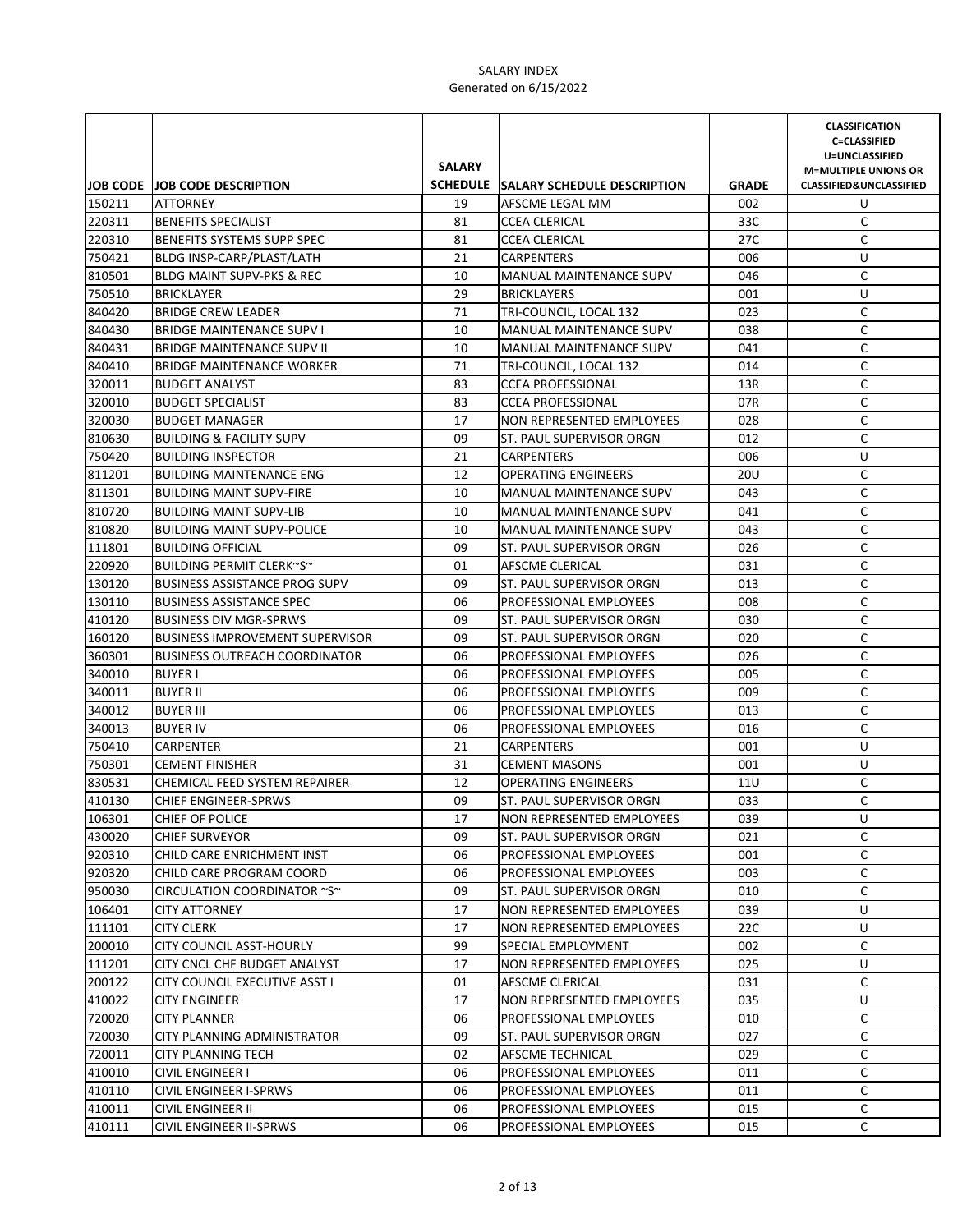|        |                                        |               |                                      |              | <b>CLASSIFICATION</b><br><b>C=CLASSIFIED</b> |
|--------|----------------------------------------|---------------|--------------------------------------|--------------|----------------------------------------------|
|        |                                        |               |                                      |              | U=UNCLASSIFIED                               |
|        |                                        | <b>SALARY</b> |                                      |              | <b>M=MULTIPLE UNIONS OR</b>                  |
|        | <b>JOB CODE JOB CODE DESCRIPTION</b>   |               | SCHEDULE SALARY SCHEDULE DESCRIPTION | <b>GRADE</b> | <b>CLASSIFIED&amp;UNCLASSIFIED</b>           |
| 150211 | <b>ATTORNEY</b>                        | 19            | AFSCME LEGAL MM                      | 002          | U                                            |
| 220311 | <b>BENEFITS SPECIALIST</b>             | 81            | <b>CCEA CLERICAL</b>                 | 33C          | C                                            |
| 220310 | <b>BENEFITS SYSTEMS SUPP SPEC</b>      | 81            | <b>CCEA CLERICAL</b>                 | 27C          | C                                            |
| 750421 | BLDG INSP-CARP/PLAST/LATH              | 21            | <b>CARPENTERS</b>                    | 006          | U                                            |
| 810501 | <b>BLDG MAINT SUPV-PKS &amp; REC</b>   | 10            | <b>MANUAL MAINTENANCE SUPV</b>       | 046          | C                                            |
| 750510 | <b>BRICKLAYER</b>                      | 29            | <b>BRICKLAYERS</b>                   | 001          | U                                            |
| 840420 | <b>BRIDGE CREW LEADER</b>              | 71            | TRI-COUNCIL, LOCAL 132               | 023          | C                                            |
| 840430 | <b>BRIDGE MAINTENANCE SUPV I</b>       | 10            | MANUAL MAINTENANCE SUPV              | 038          | С                                            |
| 840431 | <b>BRIDGE MAINTENANCE SUPV II</b>      | 10            | MANUAL MAINTENANCE SUPV              | 041          | C                                            |
| 840410 | <b>BRIDGE MAINTENANCE WORKER</b>       | 71            | TRI-COUNCIL, LOCAL 132               | 014          | С                                            |
| 320011 | <b>BUDGET ANALYST</b>                  | 83            | <b>CCEA PROFESSIONAL</b>             | 13R          | C                                            |
| 320010 | <b>BUDGET SPECIALIST</b>               | 83            | <b>CCEA PROFESSIONAL</b>             | 07R          | C                                            |
| 320030 | <b>BUDGET MANAGER</b>                  | 17            | NON REPRESENTED EMPLOYEES            | 028          | $\mathsf C$                                  |
| 810630 | <b>BUILDING &amp; FACILITY SUPV</b>    | 09            | ST. PAUL SUPERVISOR ORGN             | 012          | C                                            |
| 750420 | <b>BUILDING INSPECTOR</b>              | 21            | CARPENTERS                           | 006          | U                                            |
| 811201 | <b>BUILDING MAINTENANCE ENG</b>        | 12            | <b>OPERATING ENGINEERS</b>           | <b>20U</b>   | C                                            |
| 811301 | <b>BUILDING MAINT SUPV-FIRE</b>        | 10            | MANUAL MAINTENANCE SUPV              | 043          | C                                            |
| 810720 | <b>BUILDING MAINT SUPV-LIB</b>         | 10            | MANUAL MAINTENANCE SUPV              | 041          | С                                            |
| 810820 | <b>BUILDING MAINT SUPV-POLICE</b>      | 10            | <b>MANUAL MAINTENANCE SUPV</b>       | 043          | C                                            |
| 111801 | <b>BUILDING OFFICIAL</b>               | 09            | ST. PAUL SUPERVISOR ORGN             | 026          | C                                            |
| 220920 | BUILDING PERMIT CLERK~S~               | 01            | AFSCME CLERICAL                      | 031          | C                                            |
| 130120 | <b>BUSINESS ASSISTANCE PROG SUPV</b>   | 09            | ST. PAUL SUPERVISOR ORGN             | 013          | C                                            |
| 130110 | <b>BUSINESS ASSISTANCE SPEC</b>        | 06            | PROFESSIONAL EMPLOYEES               | 008          | C                                            |
| 410120 | <b>BUSINESS DIV MGR-SPRWS</b>          | 09            | ST. PAUL SUPERVISOR ORGN             | 030          | C                                            |
| 160120 | <b>BUSINESS IMPROVEMENT SUPERVISOR</b> | 09            | ST. PAUL SUPERVISOR ORGN             | 020          | С                                            |
| 360301 | <b>BUSINESS OUTREACH COORDINATOR</b>   | 06            | PROFESSIONAL EMPLOYEES               | 026          | С                                            |
| 340010 | <b>BUYER I</b>                         | 06            | PROFESSIONAL EMPLOYEES               | 005          | С                                            |
| 340011 | <b>BUYER II</b>                        | 06            | <b>PROFESSIONAL EMPLOYEES</b>        | 009          | C                                            |
| 340012 | <b>BUYER III</b>                       | 06            | <b>PROFESSIONAL EMPLOYEES</b>        | 013          | C                                            |
| 340013 | <b>BUYER IV</b>                        | 06            | PROFESSIONAL EMPLOYEES               | 016          | C                                            |
| 750410 | CARPENTER                              | 21            | CARPENTERS                           | 001          | U                                            |
| 750301 | <b>CEMENT FINISHER</b>                 | 31            | <b>CEMENT MASONS</b>                 | 001          | U                                            |
| 830531 | CHEMICAL FEED SYSTEM REPAIRER          | 12            | <b>OPERATING ENGINEERS</b>           | 11U          | C                                            |
| 410130 | <b>CHIEF ENGINEER-SPRWS</b>            | 09            | ST. PAUL SUPERVISOR ORGN             | 033          | C                                            |
| 106301 | CHIEF OF POLICE                        | 17            | NON REPRESENTED EMPLOYEES            | 039          | U                                            |
| 430020 | <b>CHIEF SURVEYOR</b>                  | 09            | ST. PAUL SUPERVISOR ORGN             | 021          | C                                            |
| 920310 | CHILD CARE ENRICHMENT INST             | 06            | PROFESSIONAL EMPLOYEES               | 001          | C                                            |
| 920320 | CHILD CARE PROGRAM COORD               | 06            | <b>PROFESSIONAL EMPLOYEES</b>        | 003          | C                                            |
| 950030 | CIRCULATION COORDINATOR ~S~            | 09            | ST. PAUL SUPERVISOR ORGN             | 010          | С                                            |
| 106401 | CITY ATTORNEY                          | 17            | NON REPRESENTED EMPLOYEES            | 039          | U                                            |
| 111101 | <b>CITY CLERK</b>                      | 17            | <b>NON REPRESENTED EMPLOYEES</b>     | 22C          | U                                            |
| 200010 | <b>CITY COUNCIL ASST-HOURLY</b>        | 99            | SPECIAL EMPLOYMENT                   | 002          | С                                            |
| 111201 | CITY CNCL CHF BUDGET ANALYST           | 17            | NON REPRESENTED EMPLOYEES            | 025          | U                                            |
| 200122 | CITY COUNCIL EXECUTIVE ASST I          | 01            | AFSCME CLERICAL                      | 031          | С                                            |
| 410022 | <b>CITY ENGINEER</b>                   | 17            | NON REPRESENTED EMPLOYEES            | 035          | U                                            |
| 720020 | <b>CITY PLANNER</b>                    | 06            | PROFESSIONAL EMPLOYEES               | 010          | С                                            |
| 720030 | CITY PLANNING ADMINISTRATOR            | 09            | ST. PAUL SUPERVISOR ORGN             | 027          | С                                            |
| 720011 | <b>CITY PLANNING TECH</b>              | 02            | AFSCME TECHNICAL                     | 029          | С                                            |
| 410010 | <b>CIVIL ENGINEER I</b>                | 06            | PROFESSIONAL EMPLOYEES               | 011          | C                                            |
| 410110 | CIVIL ENGINEER I-SPRWS                 | 06            | PROFESSIONAL EMPLOYEES               | 011          | С                                            |
| 410011 | CIVIL ENGINEER II                      | 06            | PROFESSIONAL EMPLOYEES               | 015          | C                                            |
| 410111 | CIVIL ENGINEER II-SPRWS                | 06            | PROFESSIONAL EMPLOYEES               | 015          | C                                            |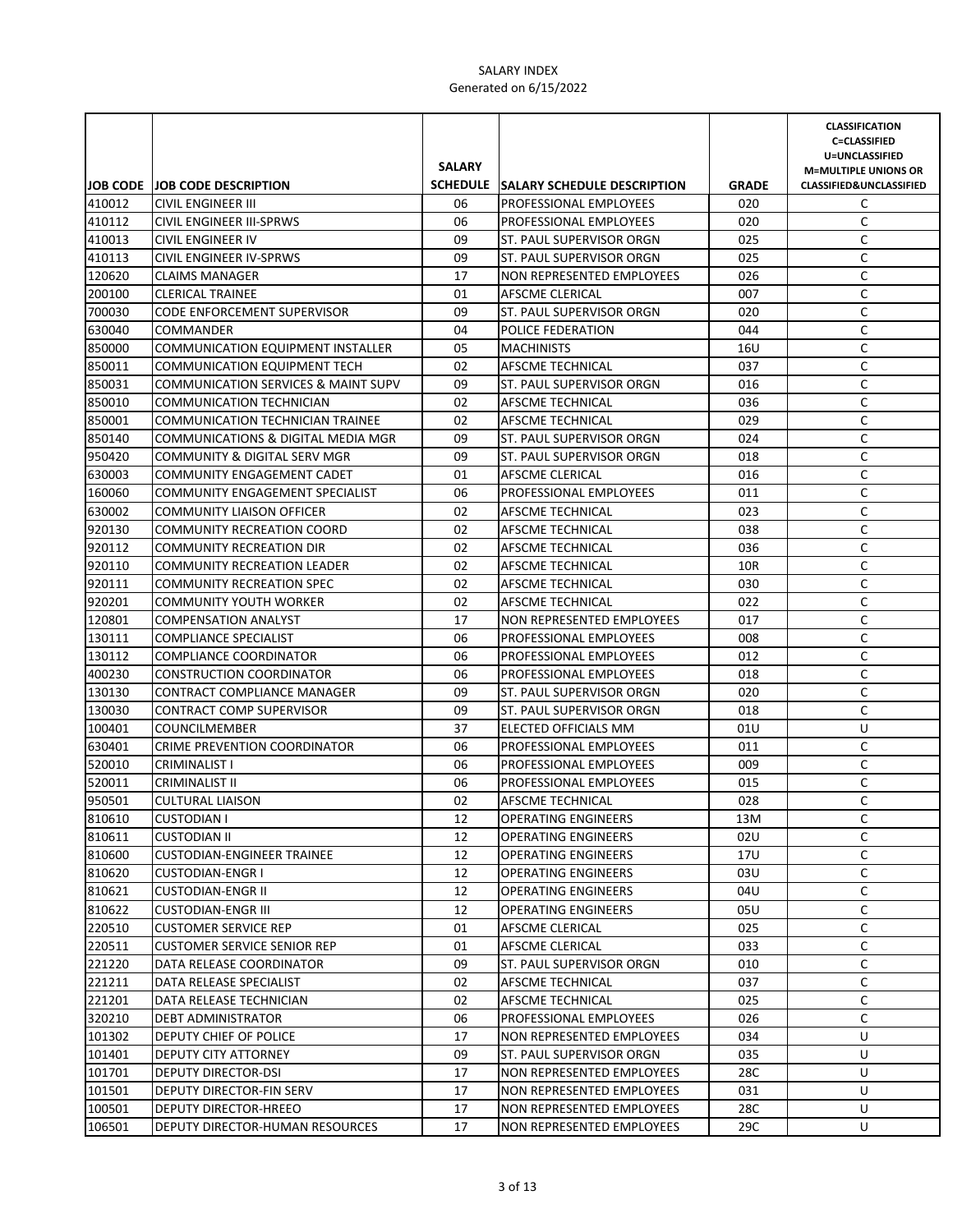|                  |                                                         | <b>SALARY</b> |                                                  |              | <b>CLASSIFICATION</b><br><b>C=CLASSIFIED</b><br>U=UNCLASSIFIED<br><b>M=MULTIPLE UNIONS OR</b> |
|------------------|---------------------------------------------------------|---------------|--------------------------------------------------|--------------|-----------------------------------------------------------------------------------------------|
|                  | JOB CODE JOB CODE DESCRIPTION                           |               | SCHEDULE SALARY SCHEDULE DESCRIPTION             | <b>GRADE</b> | <b>CLASSIFIED&amp;UNCLASSIFIED</b>                                                            |
| 410012           | CIVIL ENGINEER III                                      | 06            | <b>PROFESSIONAL EMPLOYEES</b>                    | 020          | C                                                                                             |
| 410112           | CIVIL ENGINEER III-SPRWS                                | 06            | <b>PROFESSIONAL EMPLOYEES</b>                    | 020          | C                                                                                             |
| 410013           | CIVIL ENGINEER IV                                       | 09            | ST. PAUL SUPERVISOR ORGN                         | 025          | C                                                                                             |
| 410113           | CIVIL ENGINEER IV-SPRWS                                 | 09            | ST. PAUL SUPERVISOR ORGN                         | 025          | C                                                                                             |
| 120620           | <b>CLAIMS MANAGER</b>                                   | 17            | NON REPRESENTED EMPLOYEES                        | 026          | C                                                                                             |
| 200100           | <b>CLERICAL TRAINEE</b>                                 | 01            | AFSCME CLERICAL                                  | 007          | C                                                                                             |
| 700030           | <b>CODE ENFORCEMENT SUPERVISOR</b>                      | 09            | <b>ST. PAUL SUPERVISOR ORGN</b>                  | 020          | C                                                                                             |
| 630040           | <b>COMMANDER</b>                                        | 04            | POLICE FEDERATION                                | 044          | C                                                                                             |
| 850000           | COMMUNICATION EQUIPMENT INSTALLER                       | 05            | <b>MACHINISTS</b>                                | 16U          | C                                                                                             |
| 850011           | <b>COMMUNICATION EQUIPMENT TECH</b>                     | 02            | AFSCME TECHNICAL                                 | 037          | C                                                                                             |
| 850031           | COMMUNICATION SERVICES & MAINT SUPV                     | 09            | ST. PAUL SUPERVISOR ORGN                         | 016          | C                                                                                             |
| 850010           | COMMUNICATION TECHNICIAN                                | 02            | AFSCME TECHNICAL                                 | 036          | $\mathsf C$                                                                                   |
| 850001           | COMMUNICATION TECHNICIAN TRAINEE                        | 02            | AFSCME TECHNICAL                                 | 029          | $\mathsf C$                                                                                   |
| 850140           | COMMUNICATIONS & DIGITAL MEDIA MGR                      | 09            | ST. PAUL SUPERVISOR ORGN                         | 024          | $\mathsf C$                                                                                   |
| 950420           | COMMUNITY & DIGITAL SERV MGR                            | 09            | ST. PAUL SUPERVISOR ORGN                         | 018          | C                                                                                             |
| 630003           | <b>COMMUNITY ENGAGEMENT CADET</b>                       | 01            | AFSCME CLERICAL                                  | 016          | C                                                                                             |
| 160060           | COMMUNITY ENGAGEMENT SPECIALIST                         | 06            | PROFESSIONAL EMPLOYEES                           | 011          | C                                                                                             |
| 630002           | <b>COMMUNITY LIAISON OFFICER</b>                        | 02            | AFSCME TECHNICAL                                 | 023          | C                                                                                             |
| 920130           | <b>COMMUNITY RECREATION COORD</b>                       | 02            | AFSCME TECHNICAL                                 | 038          | C                                                                                             |
| 920112           | <b>COMMUNITY RECREATION DIR</b>                         | 02            | AFSCME TECHNICAL                                 | 036          | C                                                                                             |
| 920110           | <b>COMMUNITY RECREATION LEADER</b>                      | 02            | AFSCME TECHNICAL                                 | 10R          | C                                                                                             |
| 920111           | COMMUNITY RECREATION SPEC                               | 02            | AFSCME TECHNICAL                                 | 030          | C                                                                                             |
| 920201           | <b>COMMUNITY YOUTH WORKER</b>                           | 02            | AFSCME TECHNICAL                                 | 022          | C                                                                                             |
| 120801           | <b>COMPENSATION ANALYST</b>                             | 17            | NON REPRESENTED EMPLOYEES                        | 017          | C                                                                                             |
| 130111           | <b>COMPLIANCE SPECIALIST</b>                            | 06            | <b>PROFESSIONAL EMPLOYEES</b>                    | 008          | C                                                                                             |
| 130112           | <b>COMPLIANCE COORDINATOR</b>                           | 06            | PROFESSIONAL EMPLOYEES                           | 012          | C                                                                                             |
| 400230           | <b>CONSTRUCTION COORDINATOR</b>                         | 06<br>09      | <b>PROFESSIONAL EMPLOYEES</b>                    | 018          | C<br>C                                                                                        |
| 130130           | CONTRACT COMPLIANCE MANAGER                             | 09            | ST. PAUL SUPERVISOR ORGN                         | 020<br>018   | C                                                                                             |
| 130030<br>100401 | <b>CONTRACT COMP SUPERVISOR</b><br><b>COUNCILMEMBER</b> | 37            | ST. PAUL SUPERVISOR ORGN<br>ELECTED OFFICIALS MM | 01U          | U                                                                                             |
| 630401           | CRIME PREVENTION COORDINATOR                            | 06            | PROFESSIONAL EMPLOYEES                           | 011          | C                                                                                             |
| 520010           | <b>CRIMINALIST I</b>                                    | 06            | PROFESSIONAL EMPLOYEES                           | 009          | C                                                                                             |
| 520011           | CRIMINALIST II                                          | 06            | PROFESSIONAL EMPLOYEES                           | 015          | C                                                                                             |
| 950501           | <b>CULTURAL LIAISON</b>                                 | 02            | AFSCME TECHNICAL                                 | 028          | C                                                                                             |
| 810610           | <b>CUSTODIAN I</b>                                      | 12            | <b>OPERATING ENGINEERS</b>                       | 13M          | C                                                                                             |
| 810611           | <b>CUSTODIAN II</b>                                     | 12            | <b>OPERATING ENGINEERS</b>                       | 02U          | C                                                                                             |
| 810600           | <b>CUSTODIAN-ENGINEER TRAINEE</b>                       | 12            | <b>OPERATING ENGINEERS</b>                       | 17U          | С                                                                                             |
| 810620           | <b>CUSTODIAN-ENGR I</b>                                 | 12            | <b>OPERATING ENGINEERS</b>                       | 03U          | С                                                                                             |
| 810621           | <b>CUSTODIAN-ENGR II</b>                                | 12            | <b>OPERATING ENGINEERS</b>                       | 04U          | C                                                                                             |
| 810622           | <b>CUSTODIAN-ENGR III</b>                               | 12            | <b>OPERATING ENGINEERS</b>                       | 05U          | C                                                                                             |
| 220510           | <b>CUSTOMER SERVICE REP</b>                             | 01            | AFSCME CLERICAL                                  | 025          | C                                                                                             |
| 220511           | <b>CUSTOMER SERVICE SENIOR REP</b>                      | 01            | AFSCME CLERICAL                                  | 033          | С                                                                                             |
| 221220           | DATA RELEASE COORDINATOR                                | 09            | ST. PAUL SUPERVISOR ORGN                         | 010          | С                                                                                             |
| 221211           | DATA RELEASE SPECIALIST                                 | 02            | AFSCME TECHNICAL                                 | 037          | С                                                                                             |
| 221201           | DATA RELEASE TECHNICIAN                                 | 02            | AFSCME TECHNICAL                                 | 025          | С                                                                                             |
| 320210           | DEBT ADMINISTRATOR                                      | 06            | PROFESSIONAL EMPLOYEES                           | 026          | C                                                                                             |
| 101302           | DEPUTY CHIEF OF POLICE                                  | 17            | NON REPRESENTED EMPLOYEES                        | 034          | U                                                                                             |
| 101401           | DEPUTY CITY ATTORNEY                                    | 09            | ST. PAUL SUPERVISOR ORGN                         | 035          | U                                                                                             |
| 101701           | DEPUTY DIRECTOR-DSI                                     | 17            | NON REPRESENTED EMPLOYEES                        | 28C          | U                                                                                             |
| 101501           | DEPUTY DIRECTOR-FIN SERV                                | 17            | NON REPRESENTED EMPLOYEES                        | 031          | U                                                                                             |
| 100501           | DEPUTY DIRECTOR-HREEO                                   | 17            | NON REPRESENTED EMPLOYEES                        | 28C          | U                                                                                             |
| 106501           | DEPUTY DIRECTOR-HUMAN RESOURCES                         | 17            | NON REPRESENTED EMPLOYEES                        | 29C          | U                                                                                             |
|                  |                                                         |               |                                                  |              |                                                                                               |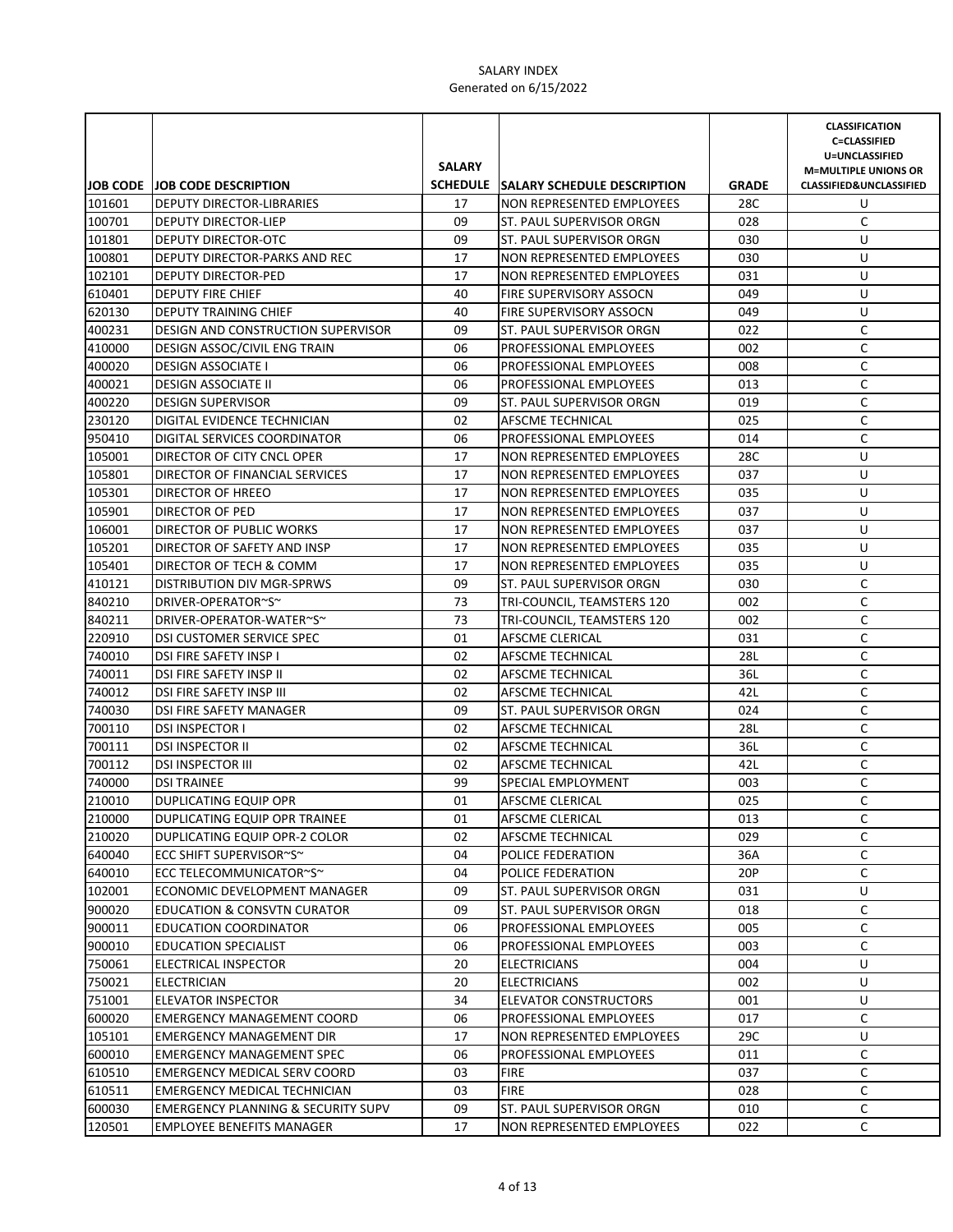|                  |                                                      | <b>SALARY</b> |                                                               |                     | <b>CLASSIFICATION</b><br><b>C=CLASSIFIED</b><br>U=UNCLASSIFIED<br><b>M=MULTIPLE UNIONS OR</b> |
|------------------|------------------------------------------------------|---------------|---------------------------------------------------------------|---------------------|-----------------------------------------------------------------------------------------------|
|                  | JOB CODE JOB CODE DESCRIPTION                        | 17            | SCHEDULE SALARY SCHEDULE DESCRIPTION                          | <b>GRADE</b><br>28C | <b>CLASSIFIED&amp;UNCLASSIFIED</b><br>U                                                       |
| 101601           | DEPUTY DIRECTOR-LIBRARIES                            |               | NON REPRESENTED EMPLOYEES                                     |                     |                                                                                               |
| 100701           | DEPUTY DIRECTOR-LIEP                                 | 09            | ST. PAUL SUPERVISOR ORGN                                      | 028                 | C                                                                                             |
| 101801           | DEPUTY DIRECTOR-OTC                                  | 09            | ST. PAUL SUPERVISOR ORGN                                      | 030                 | U                                                                                             |
| 100801<br>102101 | DEPUTY DIRECTOR-PARKS AND REC<br>DEPUTY DIRECTOR-PED | 17<br>17      | <b>NON REPRESENTED EMPLOYEES</b><br>NON REPRESENTED EMPLOYEES | 030<br>031          | U<br>U                                                                                        |
| 610401           | <b>DEPUTY FIRE CHIEF</b>                             | 40            | FIRE SUPERVISORY ASSOCN                                       | 049                 | U                                                                                             |
| 620130           | DEPUTY TRAINING CHIEF                                | 40            | <b>FIRE SUPERVISORY ASSOCN</b>                                | 049                 | U                                                                                             |
| 400231           | DESIGN AND CONSTRUCTION SUPERVISOR                   | 09            | ST. PAUL SUPERVISOR ORGN                                      | 022                 | C                                                                                             |
| 410000           | DESIGN ASSOC/CIVIL ENG TRAIN                         | 06            | PROFESSIONAL EMPLOYEES                                        | 002                 | C                                                                                             |
| 400020           | <b>DESIGN ASSOCIATE I</b>                            | 06            | PROFESSIONAL EMPLOYEES                                        | 008                 | C                                                                                             |
| 400021           | <b>DESIGN ASSOCIATE II</b>                           | 06            | PROFESSIONAL EMPLOYEES                                        | 013                 | C                                                                                             |
| 400220           | <b>DESIGN SUPERVISOR</b>                             | 09            | ST. PAUL SUPERVISOR ORGN                                      | 019                 | C                                                                                             |
| 230120           | DIGITAL EVIDENCE TECHNICIAN                          | 02            | AFSCME TECHNICAL                                              | 025                 | $\mathsf C$                                                                                   |
| 950410           | DIGITAL SERVICES COORDINATOR                         | 06            | PROFESSIONAL EMPLOYEES                                        | 014                 | $\mathsf C$                                                                                   |
| 105001           | DIRECTOR OF CITY CNCL OPER                           | 17            | NON REPRESENTED EMPLOYEES                                     | 28C                 | U                                                                                             |
| 105801           | DIRECTOR OF FINANCIAL SERVICES                       | 17            | NON REPRESENTED EMPLOYEES                                     | 037                 | U                                                                                             |
| 105301           | DIRECTOR OF HREEO                                    | 17            | NON REPRESENTED EMPLOYEES                                     | 035                 | U                                                                                             |
| 105901           | DIRECTOR OF PED                                      | 17            | NON REPRESENTED EMPLOYEES                                     | 037                 | U                                                                                             |
| 106001           | DIRECTOR OF PUBLIC WORKS                             | 17            | NON REPRESENTED EMPLOYEES                                     | 037                 | U                                                                                             |
| 105201           | DIRECTOR OF SAFETY AND INSP                          | 17            | NON REPRESENTED EMPLOYEES                                     | 035                 | U                                                                                             |
| 105401           | DIRECTOR OF TECH & COMM                              | 17            | <b>NON REPRESENTED EMPLOYEES</b>                              | 035                 | U                                                                                             |
| 410121           | <b>DISTRIBUTION DIV MGR-SPRWS</b>                    | 09            | ST. PAUL SUPERVISOR ORGN                                      | 030                 | C                                                                                             |
| 840210           | DRIVER-OPERATOR~S~                                   | 73            | TRI-COUNCIL, TEAMSTERS 120                                    | 002                 | C                                                                                             |
| 840211           | DRIVER-OPERATOR-WATER~S~                             | 73            | TRI-COUNCIL, TEAMSTERS 120                                    | 002                 | C                                                                                             |
| 220910           | DSI CUSTOMER SERVICE SPEC                            | 01            | AFSCME CLERICAL                                               | 031                 | C                                                                                             |
| 740010           | DSI FIRE SAFETY INSP I                               | 02            | AFSCME TECHNICAL                                              | 28L                 | C                                                                                             |
| 740011           | DSI FIRE SAFETY INSP II                              | 02            | AFSCME TECHNICAL                                              | 36L                 | C                                                                                             |
| 740012           | DSI FIRE SAFETY INSP III                             | 02            | AFSCME TECHNICAL                                              | 42L                 | C                                                                                             |
| 740030           | DSI FIRE SAFETY MANAGER                              | 09            | <b>ST. PAUL SUPERVISOR ORGN</b>                               | 024                 | C                                                                                             |
| 700110           | <b>DSI INSPECTOR I</b>                               | 02            | AFSCME TECHNICAL                                              | 28L                 | $\mathsf C$                                                                                   |
| 700111           | <b>DSI INSPECTOR II</b>                              | 02            | AFSCME TECHNICAL                                              | 36L                 | C                                                                                             |
| 700112           | <b>DSI INSPECTOR III</b>                             | 02            | AFSCME TECHNICAL                                              | 42L                 | $\mathsf C$                                                                                   |
| 740000           | <b>DSI TRAINEE</b>                                   | 99            | SPECIAL EMPLOYMENT                                            | 003                 | C                                                                                             |
| 210010           | DUPLICATING EQUIP OPR                                | 01            | <b>AFSCME CLERICAL</b>                                        | 025                 | C                                                                                             |
| 210000           | DUPLICATING EQUIP OPR TRAINEE                        | 01            | AFSCME CLERICAL                                               | 013                 | C                                                                                             |
| 210020           | DUPLICATING EQUIP OPR-2 COLOR                        | 02            | AFSCME TECHNICAL                                              | 029                 | C                                                                                             |
| 640040           | ECC SHIFT SUPERVISOR~S~                              | 04            | POLICE FEDERATION                                             | 36A                 | С                                                                                             |
| 640010           | ECC TELECOMMUNICATOR~S~                              | 04            | POLICE FEDERATION                                             | 20P                 | C                                                                                             |
| 102001           | ECONOMIC DEVELOPMENT MANAGER                         | 09            | ST. PAUL SUPERVISOR ORGN                                      | 031                 | U                                                                                             |
| 900020           | <b>EDUCATION &amp; CONSVTN CURATOR</b>               | 09            | ST. PAUL SUPERVISOR ORGN                                      | 018                 | C                                                                                             |
| 900011           | <b>EDUCATION COORDINATOR</b>                         | 06            | PROFESSIONAL EMPLOYEES                                        | 005                 | C                                                                                             |
| 900010           | <b>EDUCATION SPECIALIST</b>                          | 06            | PROFESSIONAL EMPLOYEES                                        | 003                 | C                                                                                             |
| 750061           | ELECTRICAL INSPECTOR                                 | 20            | <b>ELECTRICIANS</b>                                           | 004                 | U                                                                                             |
| 750021           | ELECTRICIAN                                          | 20            | <b>ELECTRICIANS</b>                                           | 002                 | U                                                                                             |
| 751001           | <b>ELEVATOR INSPECTOR</b>                            | 34            | ELEVATOR CONSTRUCTORS                                         | 001                 | U                                                                                             |
| 600020           | <b>EMERGENCY MANAGEMENT COORD</b>                    | 06            | PROFESSIONAL EMPLOYEES                                        | 017                 | C                                                                                             |
| 105101           | <b>EMERGENCY MANAGEMENT DIR</b>                      | 17            | NON REPRESENTED EMPLOYEES                                     | 29C                 | U                                                                                             |
| 600010           | <b>EMERGENCY MANAGEMENT SPEC</b>                     | 06            | PROFESSIONAL EMPLOYEES                                        | 011                 | C                                                                                             |
| 610510           | EMERGENCY MEDICAL SERV COORD                         | 03            | <b>FIRE</b>                                                   | 037                 | C                                                                                             |
| 610511           | EMERGENCY MEDICAL TECHNICIAN                         | 03            | <b>FIRE</b>                                                   | 028                 | C                                                                                             |
| 600030           | <b>EMERGENCY PLANNING &amp; SECURITY SUPV</b>        | 09            | ST. PAUL SUPERVISOR ORGN                                      | 010                 | C                                                                                             |
| 120501           | <b>EMPLOYEE BENEFITS MANAGER</b>                     | 17            | NON REPRESENTED EMPLOYEES                                     | 022                 | C                                                                                             |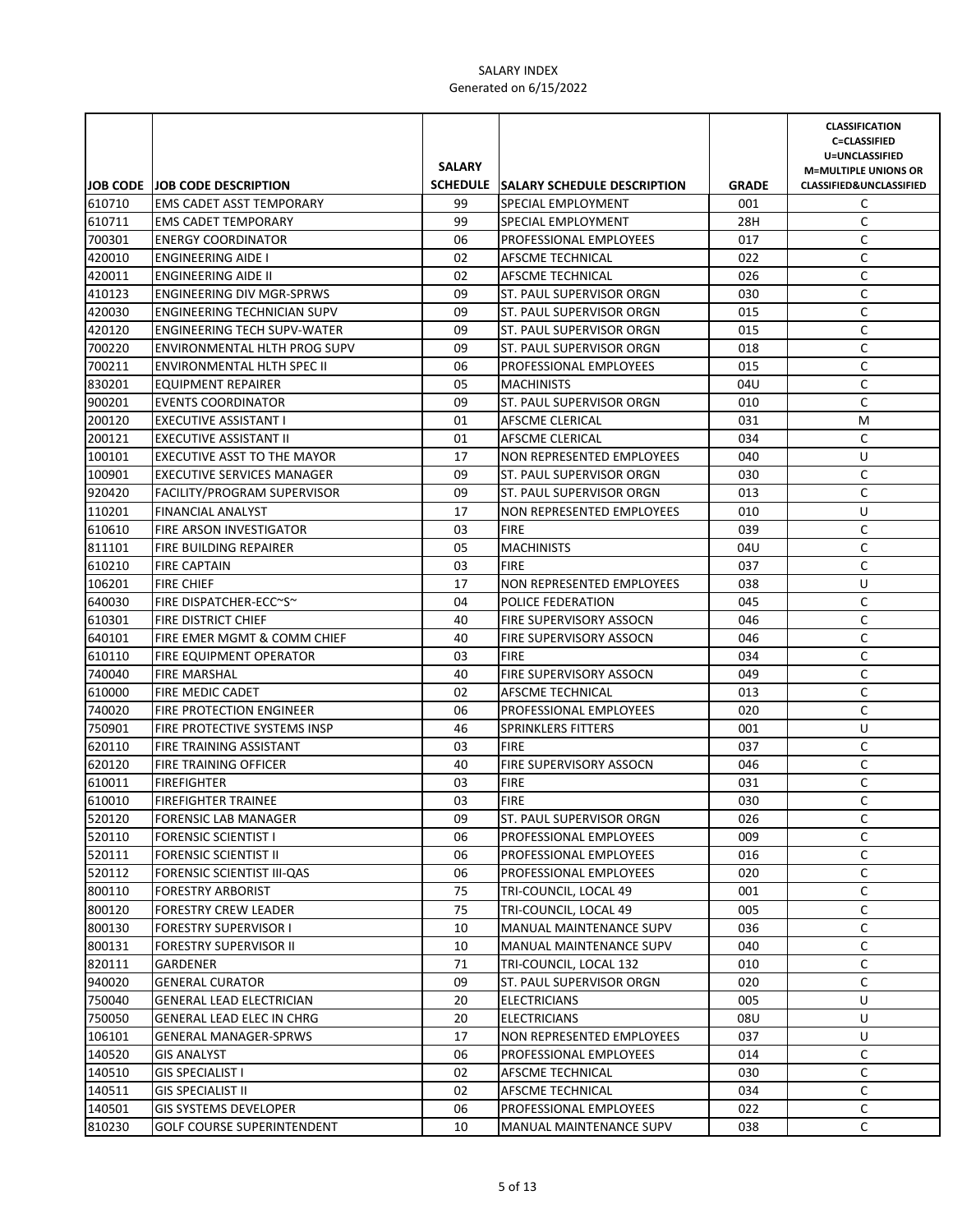|                  |                                                                          | <b>SALARY</b> |                                                           |              | <b>CLASSIFICATION</b><br><b>C=CLASSIFIED</b><br>U=UNCLASSIFIED<br><b>M=MULTIPLE UNIONS OR</b> |
|------------------|--------------------------------------------------------------------------|---------------|-----------------------------------------------------------|--------------|-----------------------------------------------------------------------------------------------|
|                  | JOB CODE JOB CODE DESCRIPTION                                            |               | SCHEDULE SALARY SCHEDULE DESCRIPTION                      | <b>GRADE</b> | <b>CLASSIFIED&amp;UNCLASSIFIED</b>                                                            |
| 610710           | <b>EMS CADET ASST TEMPORARY</b>                                          | 99            | SPECIAL EMPLOYMENT                                        | 001          | C                                                                                             |
| 610711           | <b>EMS CADET TEMPORARY</b>                                               | 99            | SPECIAL EMPLOYMENT                                        | 28H          | C                                                                                             |
| 700301           | <b>ENERGY COORDINATOR</b>                                                | 06            | <b>PROFESSIONAL EMPLOYEES</b>                             | 017          | C                                                                                             |
| 420010           | <b>ENGINEERING AIDE I</b>                                                | 02            | AFSCME TECHNICAL                                          | 022          | C                                                                                             |
| 420011<br>410123 | <b>ENGINEERING AIDE II</b>                                               | 02            | AFSCME TECHNICAL                                          | 026          | C                                                                                             |
|                  | <b>ENGINEERING DIV MGR-SPRWS</b>                                         | 09            | ST. PAUL SUPERVISOR ORGN                                  | 030          | C                                                                                             |
| 420030           | <b>ENGINEERING TECHNICIAN SUPV</b><br><b>ENGINEERING TECH SUPV-WATER</b> | 09<br>09      | <b>ST. PAUL SUPERVISOR ORGN</b>                           | 015<br>015   | C<br>C                                                                                        |
| 420120<br>700220 |                                                                          | 09            | ST. PAUL SUPERVISOR ORGN                                  | 018          | C                                                                                             |
| 700211           | ENVIRONMENTAL HLTH PROG SUPV<br>ENVIRONMENTAL HLTH SPEC II               | 06            | ST. PAUL SUPERVISOR ORGN<br><b>PROFESSIONAL EMPLOYEES</b> | 015          | C                                                                                             |
| 830201           | EQUIPMENT REPAIRER                                                       | 05            | <b>MACHINISTS</b>                                         | 04U          | C                                                                                             |
| 900201           | <b>EVENTS COORDINATOR</b>                                                | 09            | ST. PAUL SUPERVISOR ORGN                                  | 010          | C                                                                                             |
| 200120           | EXECUTIVE ASSISTANT I                                                    | 01            | AFSCME CLERICAL                                           | 031          | M                                                                                             |
| 200121           | <b>EXECUTIVE ASSISTANT II</b>                                            | 01            | AFSCME CLERICAL                                           | 034          | C                                                                                             |
| 100101           | EXECUTIVE ASST TO THE MAYOR                                              | 17            | NON REPRESENTED EMPLOYEES                                 | 040          | U                                                                                             |
| 100901           | <b>EXECUTIVE SERVICES MANAGER</b>                                        | 09            | ST. PAUL SUPERVISOR ORGN                                  | 030          | C                                                                                             |
| 920420           | FACILITY/PROGRAM SUPERVISOR                                              | 09            | ST. PAUL SUPERVISOR ORGN                                  | 013          | C                                                                                             |
| 110201           | <b>FINANCIAL ANALYST</b>                                                 | 17            | NON REPRESENTED EMPLOYEES                                 | 010          | U                                                                                             |
| 610610           | FIRE ARSON INVESTIGATOR                                                  | 03            | <b>FIRE</b>                                               | 039          | C                                                                                             |
| 811101           | <b>FIRE BUILDING REPAIRER</b>                                            | 05            | <b>MACHINISTS</b>                                         | 04U          | C                                                                                             |
| 610210           | <b>FIRE CAPTAIN</b>                                                      | 03            | <b>FIRE</b>                                               | 037          | C                                                                                             |
| 106201           | <b>FIRE CHIEF</b>                                                        | 17            | <b>NON REPRESENTED EMPLOYEES</b>                          | 038          | U                                                                                             |
| 640030           | FIRE DISPATCHER-ECC~S~                                                   | 04            | <b>POLICE FEDERATION</b>                                  | 045          | C                                                                                             |
| 610301           | <b>FIRE DISTRICT CHIEF</b>                                               | 40            | <b>FIRE SUPERVISORY ASSOCN</b>                            | 046          | C                                                                                             |
| 640101           | FIRE EMER MGMT & COMM CHIEF                                              | 40            | <b>FIRE SUPERVISORY ASSOCN</b>                            | 046          | C                                                                                             |
| 610110           | FIRE EQUIPMENT OPERATOR                                                  | 03            | <b>FIRE</b>                                               | 034          | C                                                                                             |
| 740040           | <b>FIRE MARSHAL</b>                                                      | 40            | FIRE SUPERVISORY ASSOCN                                   | 049          | C                                                                                             |
| 610000           | FIRE MEDIC CADET                                                         | 02            | AFSCME TECHNICAL                                          | 013          | C                                                                                             |
| 740020           | FIRE PROTECTION ENGINEER                                                 | 06            | <b>PROFESSIONAL EMPLOYEES</b>                             | 020          | $\mathsf C$                                                                                   |
| 750901           | FIRE PROTECTIVE SYSTEMS INSP                                             | 46            | <b>SPRINKLERS FITTERS</b>                                 | 001          | U                                                                                             |
| 620110           | FIRE TRAINING ASSISTANT                                                  | 03            | <b>FIRE</b>                                               | 037          | C                                                                                             |
| 620120           | FIRE TRAINING OFFICER                                                    | 40            | FIRE SUPERVISORY ASSOCN                                   | 046          | $\mathsf C$                                                                                   |
| 610011           | <b>FIREFIGHTER</b>                                                       | 03            | <b>FIRE</b>                                               | 031          | C                                                                                             |
| 610010           | <b>FIREFIGHTER TRAINEE</b>                                               | 03            | <b>FIRE</b>                                               | 030          | C                                                                                             |
| 520120           | <b>FORENSIC LAB MANAGER</b>                                              | 09            | ST. PAUL SUPERVISOR ORGN                                  | 026          | C                                                                                             |
| 520110           | <b>FORENSIC SCIENTIST I</b>                                              | 06            | PROFESSIONAL EMPLOYEES                                    | 009          | C                                                                                             |
| 520111           | <b>FORENSIC SCIENTIST II</b>                                             | 06            | <b>PROFESSIONAL EMPLOYEES</b>                             | 016          | С                                                                                             |
| 520112           | FORENSIC SCIENTIST III-QAS                                               | 06            | PROFESSIONAL EMPLOYEES                                    | 020          | С                                                                                             |
| 800110           | <b>FORESTRY ARBORIST</b>                                                 | 75            | TRI-COUNCIL, LOCAL 49                                     | 001          | С                                                                                             |
| 800120           | <b>FORESTRY CREW LEADER</b>                                              | 75            | TRI-COUNCIL, LOCAL 49                                     | 005          | C                                                                                             |
| 800130           | <b>FORESTRY SUPERVISOR I</b>                                             | 10            | MANUAL MAINTENANCE SUPV                                   | 036          | C                                                                                             |
| 800131           | <b>FORESTRY SUPERVISOR II</b>                                            | 10            | MANUAL MAINTENANCE SUPV                                   | 040          | C                                                                                             |
| 820111           | GARDENER                                                                 | 71            | TRI-COUNCIL, LOCAL 132                                    | 010          | C                                                                                             |
| 940020           | <b>GENERAL CURATOR</b>                                                   | 09            | ST. PAUL SUPERVISOR ORGN                                  | 020          | С                                                                                             |
| 750040           | <b>GENERAL LEAD ELECTRICIAN</b>                                          | 20            | <b>ELECTRICIANS</b>                                       | 005          | U                                                                                             |
| 750050           | GENERAL LEAD ELEC IN CHRG                                                | 20            | <b>ELECTRICIANS</b>                                       | 08U          | U                                                                                             |
| 106101           | <b>GENERAL MANAGER-SPRWS</b>                                             | 17            | NON REPRESENTED EMPLOYEES                                 | 037          | U                                                                                             |
| 140520           | <b>GIS ANALYST</b>                                                       | 06            | PROFESSIONAL EMPLOYEES                                    | 014          | C                                                                                             |
| 140510           | <b>GIS SPECIALIST I</b>                                                  | 02            | AFSCME TECHNICAL                                          | 030          | C                                                                                             |
| 140511           | <b>GIS SPECIALIST II</b>                                                 | 02            | AFSCME TECHNICAL                                          | 034          | C                                                                                             |
| 140501           | <b>GIS SYSTEMS DEVELOPER</b>                                             | 06            | PROFESSIONAL EMPLOYEES                                    | 022          | C                                                                                             |
| 810230           | <b>GOLF COURSE SUPERINTENDENT</b>                                        | 10            | MANUAL MAINTENANCE SUPV                                   | 038          | C                                                                                             |
|                  |                                                                          |               |                                                           |              |                                                                                               |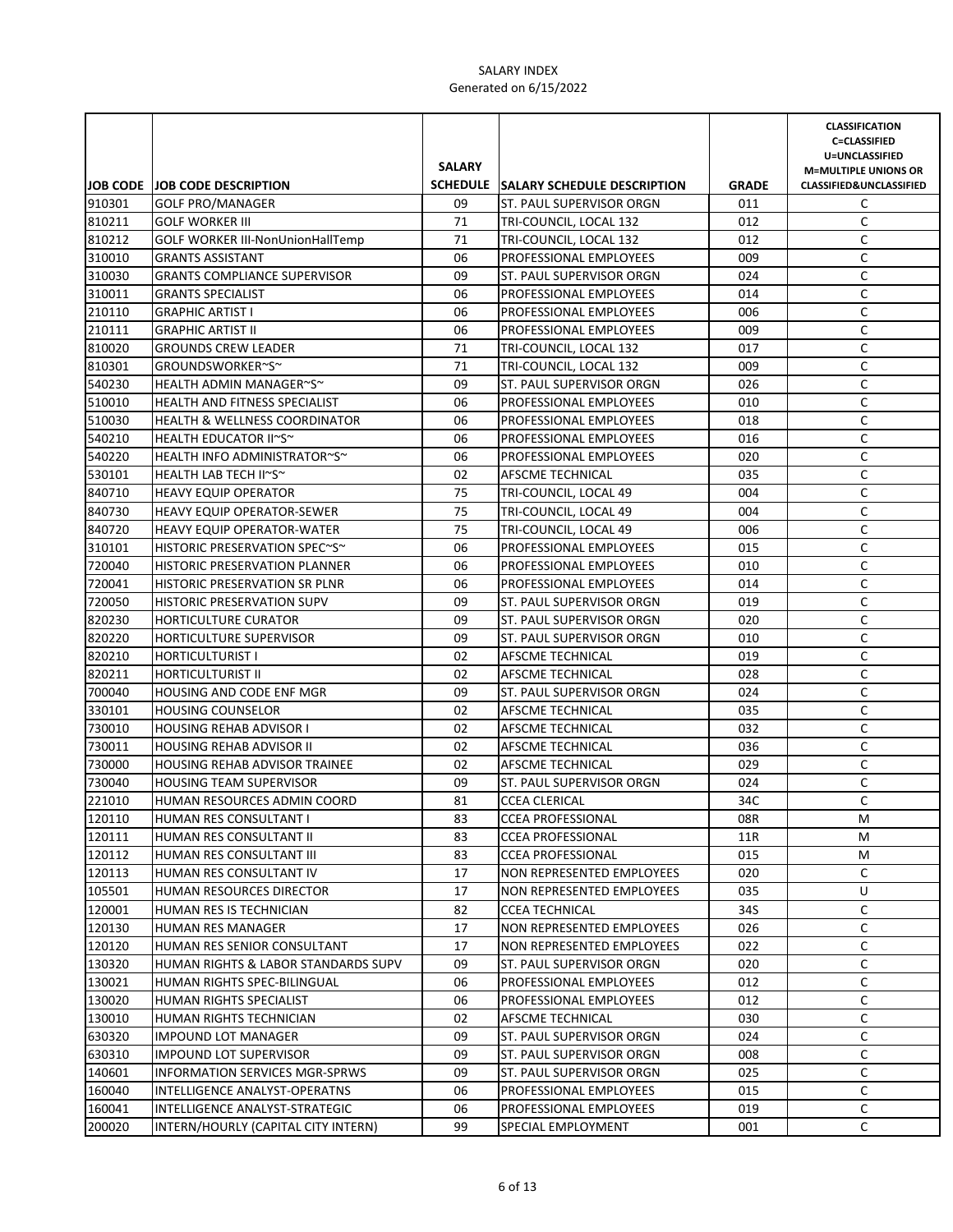|        |                                          | <b>SALARY</b> |                                      |              | <b>CLASSIFICATION</b><br><b>C=CLASSIFIED</b><br>U=UNCLASSIFIED    |
|--------|------------------------------------------|---------------|--------------------------------------|--------------|-------------------------------------------------------------------|
|        | <b>JOB CODE JOB CODE DESCRIPTION</b>     |               | SCHEDULE SALARY SCHEDULE DESCRIPTION | <b>GRADE</b> | <b>M=MULTIPLE UNIONS OR</b><br><b>CLASSIFIED&amp;UNCLASSIFIED</b> |
| 910301 | <b>GOLF PRO/MANAGER</b>                  | 09            | ST. PAUL SUPERVISOR ORGN             | 011          | C                                                                 |
| 810211 | <b>GOLF WORKER III</b>                   | 71            | TRI-COUNCIL, LOCAL 132               | 012          | C                                                                 |
| 810212 | <b>GOLF WORKER III-NonUnionHallTemp</b>  | 71            | TRI-COUNCIL, LOCAL 132               | 012          | C                                                                 |
| 310010 | <b>GRANTS ASSISTANT</b>                  | 06            | PROFESSIONAL EMPLOYEES               | 009          | C                                                                 |
| 310030 | <b>GRANTS COMPLIANCE SUPERVISOR</b>      | 09            | ST. PAUL SUPERVISOR ORGN             | 024          | C                                                                 |
| 310011 | <b>GRANTS SPECIALIST</b>                 | 06            | PROFESSIONAL EMPLOYEES               | 014          | C                                                                 |
| 210110 | <b>GRAPHIC ARTIST I</b>                  | 06            | PROFESSIONAL EMPLOYEES               | 006          | C                                                                 |
| 210111 | <b>GRAPHIC ARTIST II</b>                 | 06            | PROFESSIONAL EMPLOYEES               | 009          | C                                                                 |
| 810020 | <b>GROUNDS CREW LEADER</b>               | 71            | TRI-COUNCIL, LOCAL 132               | 017          | C                                                                 |
| 810301 | GROUNDSWORKER~S~                         | 71            | TRI-COUNCIL, LOCAL 132               | 009          | $\mathsf C$                                                       |
| 540230 | HEALTH ADMIN MANAGER~S~                  | 09            | ST. PAUL SUPERVISOR ORGN             | 026          | $\mathsf C$                                                       |
| 510010 | <b>HEALTH AND FITNESS SPECIALIST</b>     | 06            | PROFESSIONAL EMPLOYEES               | 010          | $\mathsf C$                                                       |
| 510030 | <b>HEALTH &amp; WELLNESS COORDINATOR</b> | 06            | PROFESSIONAL EMPLOYEES               | 018          | $\mathsf C$                                                       |
| 540210 | HEALTH EDUCATOR II~S~                    | 06            | PROFESSIONAL EMPLOYEES               | 016          | $\mathsf C$                                                       |
| 540220 | HEALTH INFO ADMINISTRATOR~S~             | 06            | PROFESSIONAL EMPLOYEES               | 020          | $\mathsf C$                                                       |
| 530101 | HEALTH LAB TECH II~S~                    | 02            | AFSCME TECHNICAL                     | 035          | $\mathsf C$                                                       |
| 840710 | <b>HEAVY EQUIP OPERATOR</b>              | 75            | TRI-COUNCIL, LOCAL 49                | 004          | C                                                                 |
| 840730 | <b>HEAVY EQUIP OPERATOR-SEWER</b>        | 75            | TRI-COUNCIL, LOCAL 49                | 004          | C                                                                 |
| 840720 | <b>HEAVY EQUIP OPERATOR-WATER</b>        | 75            | TRI-COUNCIL, LOCAL 49                | 006          | C                                                                 |
| 310101 | HISTORIC PRESERVATION SPEC~S~            | 06            | PROFESSIONAL EMPLOYEES               | 015          | C                                                                 |
| 720040 | HISTORIC PRESERVATION PLANNER            | 06            | PROFESSIONAL EMPLOYEES               | 010          | C                                                                 |
| 720041 | HISTORIC PRESERVATION SR PLNR            | 06            | PROFESSIONAL EMPLOYEES               | 014          | C                                                                 |
| 720050 | <b>HISTORIC PRESERVATION SUPV</b>        | 09            | ST. PAUL SUPERVISOR ORGN             | 019          | C                                                                 |
| 820230 | <b>HORTICULTURE CURATOR</b>              | 09            | ST. PAUL SUPERVISOR ORGN             | 020          | C                                                                 |
| 820220 | HORTICULTURE SUPERVISOR                  | 09            | ST. PAUL SUPERVISOR ORGN             | 010          | C                                                                 |
| 820210 | <b>HORTICULTURIST I</b>                  | 02            | AFSCME TECHNICAL                     | 019          | C                                                                 |
| 820211 | <b>HORTICULTURIST II</b>                 | 02            | AFSCME TECHNICAL                     | 028          | C                                                                 |
| 700040 | HOUSING AND CODE ENF MGR                 | 09            | ST. PAUL SUPERVISOR ORGN             | 024          | $\mathsf C$                                                       |
| 330101 | <b>HOUSING COUNSELOR</b>                 | 02            | AFSCME TECHNICAL                     | 035          | $\mathsf C$                                                       |
| 730010 | <b>HOUSING REHAB ADVISOR I</b>           | 02            | AFSCME TECHNICAL                     | 032          | C                                                                 |
| 730011 | <b>HOUSING REHAB ADVISOR II</b>          | 02            | AFSCME TECHNICAL                     | 036          | $\mathsf C$                                                       |
| 730000 | <b>HOUSING REHAB ADVISOR TRAINEE</b>     | 02            | AFSCME TECHNICAL                     | 029          | $\mathsf C$                                                       |
| 730040 | <b>HOUSING TEAM SUPERVISOR</b>           | 09            | ST. PAUL SUPERVISOR ORGN             | 024          | C                                                                 |
| 221010 | HUMAN RESOURCES ADMIN COORD              | 81            | <b>CCEA CLERICAL</b>                 | 34C          | C                                                                 |
| 120110 | HUMAN RES CONSULTANT I                   | 83            | <b>CCEA PROFESSIONAL</b>             | 08R          | М                                                                 |
| 120111 | HUMAN RES CONSULTANT II                  | 83            | <b>CCEA PROFESSIONAL</b>             | 11R          | М                                                                 |
| 120112 | HUMAN RES CONSULTANT III                 | 83            | <b>CCEA PROFESSIONAL</b>             | 015          | М                                                                 |
| 120113 | HUMAN RES CONSULTANT IV                  | 17            | NON REPRESENTED EMPLOYEES            | 020          | C                                                                 |
| 105501 | HUMAN RESOURCES DIRECTOR                 | 17            | NON REPRESENTED EMPLOYEES            | 035          | U                                                                 |
| 120001 | HUMAN RES IS TECHNICIAN                  | 82            | <b>CCEA TECHNICAL</b>                | 34S          | C                                                                 |
| 120130 | <b>HUMAN RES MANAGER</b>                 | 17            | NON REPRESENTED EMPLOYEES            | 026          | C                                                                 |
| 120120 | HUMAN RES SENIOR CONSULTANT              | 17            | NON REPRESENTED EMPLOYEES            | 022          | C                                                                 |
| 130320 | HUMAN RIGHTS & LABOR STANDARDS SUPV      | 09            | ST. PAUL SUPERVISOR ORGN             | 020          | С                                                                 |
| 130021 | HUMAN RIGHTS SPEC-BILINGUAL              | 06            | PROFESSIONAL EMPLOYEES               | 012          | С                                                                 |
| 130020 | HUMAN RIGHTS SPECIALIST                  | 06            | PROFESSIONAL EMPLOYEES               | 012          | С                                                                 |
| 130010 | HUMAN RIGHTS TECHNICIAN                  | 02            | AFSCME TECHNICAL                     | 030          | C                                                                 |
| 630320 | <b>IMPOUND LOT MANAGER</b>               | 09            | ST. PAUL SUPERVISOR ORGN             | 024          | C                                                                 |
| 630310 | <b>IMPOUND LOT SUPERVISOR</b>            | 09            | ST. PAUL SUPERVISOR ORGN             | 008          | C                                                                 |
| 140601 | <b>INFORMATION SERVICES MGR-SPRWS</b>    | 09            | ST. PAUL SUPERVISOR ORGN             | 025          | C                                                                 |
| 160040 | INTELLIGENCE ANALYST-OPERATNS            | 06            | PROFESSIONAL EMPLOYEES               | 015          | C                                                                 |
| 160041 | INTELLIGENCE ANALYST-STRATEGIC           | 06            | PROFESSIONAL EMPLOYEES               | 019          | C                                                                 |
| 200020 | INTERN/HOURLY (CAPITAL CITY INTERN)      | 99            | SPECIAL EMPLOYMENT                   | 001          | С                                                                 |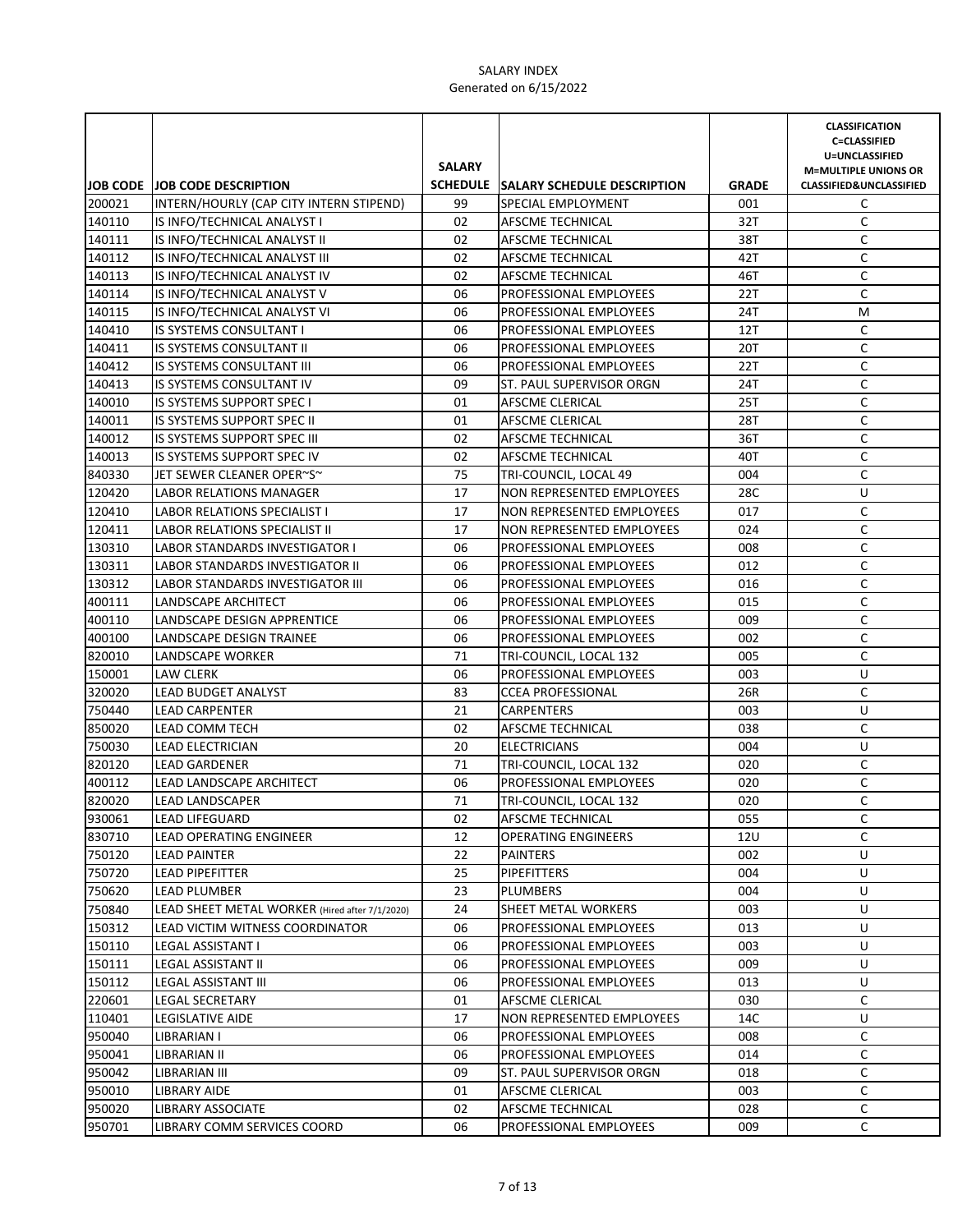|                  |                                                | <b>SALARY</b> |                                         |              | <b>CLASSIFICATION</b><br><b>C=CLASSIFIED</b><br>U=UNCLASSIFIED<br><b>M=MULTIPLE UNIONS OR</b> |
|------------------|------------------------------------------------|---------------|-----------------------------------------|--------------|-----------------------------------------------------------------------------------------------|
|                  | <b>JOB CODE JOB CODE DESCRIPTION</b>           |               | SCHEDULE SALARY SCHEDULE DESCRIPTION    | <b>GRADE</b> | CLASSIFIED&UNCLASSIFIED                                                                       |
| 200021           | INTERN/HOURLY (CAP CITY INTERN STIPEND)        | 99            | SPECIAL EMPLOYMENT                      | 001          | C                                                                                             |
| 140110           | IS INFO/TECHNICAL ANALYST I                    | 02            | AFSCME TECHNICAL                        | 32T          | C                                                                                             |
| 140111           | IS INFO/TECHNICAL ANALYST II                   | 02            | AFSCME TECHNICAL                        | 38T          | C                                                                                             |
| 140112           | IS INFO/TECHNICAL ANALYST III                  | 02            | AFSCME TECHNICAL                        | 42T          | C                                                                                             |
| 140113           | IS INFO/TECHNICAL ANALYST IV                   | 02            | AFSCME TECHNICAL                        | 46T          | C                                                                                             |
| 140114           | IS INFO/TECHNICAL ANALYST V                    | 06            | PROFESSIONAL EMPLOYEES                  | 22T          | C                                                                                             |
| 140115           | IS INFO/TECHNICAL ANALYST VI                   | 06            | PROFESSIONAL EMPLOYEES                  | 24T          | M                                                                                             |
| 140410           | <b>IS SYSTEMS CONSULTANT I</b>                 | 06            | PROFESSIONAL EMPLOYEES                  | 12T          | C                                                                                             |
| 140411           | IS SYSTEMS CONSULTANT II                       | 06            | PROFESSIONAL EMPLOYEES                  | 20T          | C                                                                                             |
| 140412           | IS SYSTEMS CONSULTANT III                      | 06            | PROFESSIONAL EMPLOYEES                  | 22T          | C                                                                                             |
| 140413           | IS SYSTEMS CONSULTANT IV                       | 09            | ST. PAUL SUPERVISOR ORGN                | 24T          | C                                                                                             |
| 140010           | IS SYSTEMS SUPPORT SPEC I                      | 01            | AFSCME CLERICAL                         | 25T          | C                                                                                             |
| 140011           | IS SYSTEMS SUPPORT SPEC II                     | 01            | AFSCME CLERICAL                         | 28T          | C                                                                                             |
| 140012           | <b>IS SYSTEMS SUPPORT SPEC III</b>             | 02            | AFSCME TECHNICAL                        | 36T          | $\mathsf C$                                                                                   |
| 140013           | IS SYSTEMS SUPPORT SPEC IV                     | 02            | AFSCME TECHNICAL                        | 40T          | C                                                                                             |
| 840330           | JET SEWER CLEANER OPER~S~                      | 75            | TRI-COUNCIL, LOCAL 49                   | 004          | $\mathsf C$                                                                                   |
| 120420           | LABOR RELATIONS MANAGER                        | 17            | NON REPRESENTED EMPLOYEES               | 28C          | U                                                                                             |
| 120410           | <b>LABOR RELATIONS SPECIALIST I</b>            | 17            | NON REPRESENTED EMPLOYEES               | 017          | C                                                                                             |
| 120411           | LABOR RELATIONS SPECIALIST II                  | 17            | NON REPRESENTED EMPLOYEES               | 024          | C                                                                                             |
| 130310           | <b>LABOR STANDARDS INVESTIGATOR I</b>          | 06            | PROFESSIONAL EMPLOYEES                  | 008          | C                                                                                             |
| 130311           | LABOR STANDARDS INVESTIGATOR II                | 06            | PROFESSIONAL EMPLOYEES                  | 012          | C                                                                                             |
| 130312           | LABOR STANDARDS INVESTIGATOR III               | 06            | PROFESSIONAL EMPLOYEES                  | 016          | C                                                                                             |
| 400111           | LANDSCAPE ARCHITECT                            | 06            | PROFESSIONAL EMPLOYEES                  | 015          | C                                                                                             |
| 400110           | LANDSCAPE DESIGN APPRENTICE                    | 06            | PROFESSIONAL EMPLOYEES                  | 009          | C                                                                                             |
| 400100           | LANDSCAPE DESIGN TRAINEE                       | 06            | PROFESSIONAL EMPLOYEES                  | 002          | C                                                                                             |
| 820010           | LANDSCAPE WORKER                               | 71            | TRI-COUNCIL, LOCAL 132                  | 005          | C                                                                                             |
| 150001           | <b>LAW CLERK</b>                               | 06            | PROFESSIONAL EMPLOYEES                  | 003          | U                                                                                             |
| 320020           | LEAD BUDGET ANALYST                            | 83            | <b>CCEA PROFESSIONAL</b>                | 26R          | C                                                                                             |
| 750440           | <b>LEAD CARPENTER</b>                          | 21            | <b>CARPENTERS</b>                       | 003          | U                                                                                             |
| 850020           | LEAD COMM TECH                                 | 02            | AFSCME TECHNICAL                        | 038          | C                                                                                             |
| 750030           | LEAD ELECTRICIAN                               | 20            | <b>ELECTRICIANS</b>                     | 004          | U                                                                                             |
| 820120<br>400112 | <b>LEAD GARDENER</b>                           | 71<br>06      | TRI-COUNCIL, LOCAL 132                  | 020<br>020   | C                                                                                             |
|                  | LEAD LANDSCAPE ARCHITECT                       | 71            | PROFESSIONAL EMPLOYEES                  | 020          | C<br>C                                                                                        |
| 820020<br>930061 | <b>LEAD LANDSCAPER</b><br>LEAD LIFEGUARD       |               | TRI-COUNCIL, LOCAL 132                  |              |                                                                                               |
| 830710           | LEAD OPERATING ENGINEER                        | 02<br>12      | AFSCME TECHNICAL<br>OPERATING ENGINEERS | 055<br>12U   | C<br>C                                                                                        |
| 750120           | <b>LEAD PAINTER</b>                            | 22            | <b>PAINTERS</b>                         | 002          | U                                                                                             |
| 750720           | <b>LEAD PIPEFITTER</b>                         | 25            | <b>PIPEFITTERS</b>                      | 004          | U                                                                                             |
| 750620           | <b>LEAD PLUMBER</b>                            | 23            | <b>PLUMBERS</b>                         | 004          | U                                                                                             |
| 750840           | LEAD SHEET METAL WORKER (Hired after 7/1/2020) | 24            | SHEET METAL WORKERS                     | 003          | U                                                                                             |
| 150312           | LEAD VICTIM WITNESS COORDINATOR                | 06            | PROFESSIONAL EMPLOYEES                  | 013          | U                                                                                             |
| 150110           | LEGAL ASSISTANT I                              | 06            | PROFESSIONAL EMPLOYEES                  | 003          | U                                                                                             |
| 150111           | LEGAL ASSISTANT II                             | 06            | PROFESSIONAL EMPLOYEES                  | 009          | U                                                                                             |
| 150112           | LEGAL ASSISTANT III                            | 06            | PROFESSIONAL EMPLOYEES                  | 013          | U                                                                                             |
| 220601           | <b>LEGAL SECRETARY</b>                         | 01            | AFSCME CLERICAL                         | 030          | С                                                                                             |
| 110401           | <b>LEGISLATIVE AIDE</b>                        | 17            | NON REPRESENTED EMPLOYEES               | 14C          | U                                                                                             |
| 950040           | LIBRARIAN I                                    | 06            | PROFESSIONAL EMPLOYEES                  | 008          | С                                                                                             |
| 950041           | LIBRARIAN II                                   | 06            | PROFESSIONAL EMPLOYEES                  | 014          | С                                                                                             |
| 950042           | LIBRARIAN III                                  | 09            | ST. PAUL SUPERVISOR ORGN                | 018          | С                                                                                             |
| 950010           | LIBRARY AIDE                                   | 01            | AFSCME CLERICAL                         | 003          | C                                                                                             |
| 950020           | <b>LIBRARY ASSOCIATE</b>                       | 02            | AFSCME TECHNICAL                        | 028          | C                                                                                             |
|                  |                                                | 06            |                                         | 009          | C                                                                                             |
| 950701           | LIBRARY COMM SERVICES COORD                    |               | PROFESSIONAL EMPLOYEES                  |              |                                                                                               |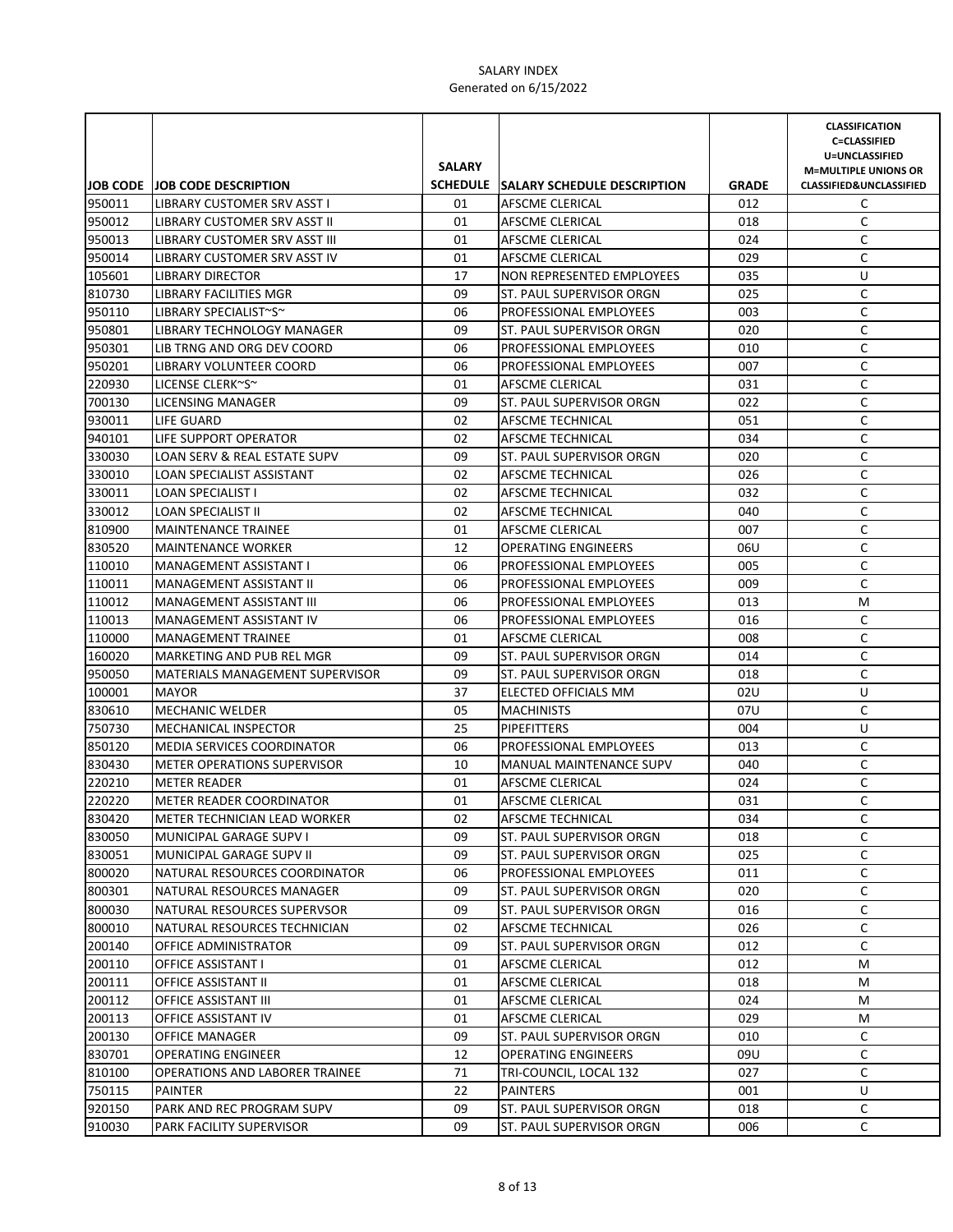|        |                                        | <b>SALARY</b> |                                             |              | <b>CLASSIFICATION</b><br><b>C=CLASSIFIED</b><br>U=UNCLASSIFIED<br><b>M=MULTIPLE UNIONS OR</b> |
|--------|----------------------------------------|---------------|---------------------------------------------|--------------|-----------------------------------------------------------------------------------------------|
|        | <b>JOB CODE JOB CODE DESCRIPTION</b>   |               | <b>SCHEDULE SALARY SCHEDULE DESCRIPTION</b> | <b>GRADE</b> | <b>CLASSIFIED&amp;UNCLASSIFIED</b>                                                            |
| 950011 | LIBRARY CUSTOMER SRV ASST I            | 01            | AFSCME CLERICAL                             | 012          | C                                                                                             |
| 950012 | LIBRARY CUSTOMER SRV ASST II           | 01            | AFSCME CLERICAL                             | 018          | C                                                                                             |
| 950013 | LIBRARY CUSTOMER SRV ASST III          | 01            | AFSCME CLERICAL                             | 024          | C                                                                                             |
| 950014 | LIBRARY CUSTOMER SRV ASST IV           | 01            | AFSCME CLERICAL                             | 029          | C                                                                                             |
| 105601 | <b>LIBRARY DIRECTOR</b>                | 17            | NON REPRESENTED EMPLOYEES                   | 035          | U                                                                                             |
| 810730 | LIBRARY FACILITIES MGR                 | 09            | ST. PAUL SUPERVISOR ORGN                    | 025          | C                                                                                             |
| 950110 | LIBRARY SPECIALIST~S~                  | 06            | PROFESSIONAL EMPLOYEES                      | 003          | C                                                                                             |
| 950801 | LIBRARY TECHNOLOGY MANAGER             | 09            | ST. PAUL SUPERVISOR ORGN                    | 020          | C                                                                                             |
| 950301 | LIB TRNG AND ORG DEV COORD             | 06            | PROFESSIONAL EMPLOYEES                      | 010          | C                                                                                             |
| 950201 | LIBRARY VOLUNTEER COORD                | 06            | PROFESSIONAL EMPLOYEES                      | 007          | C                                                                                             |
| 220930 | LICENSE CLERK~S~                       | 01            | AFSCME CLERICAL                             | 031          | C                                                                                             |
| 700130 | <b>LICENSING MANAGER</b>               | 09            | ST. PAUL SUPERVISOR ORGN                    | 022          | $\mathsf C$                                                                                   |
| 930011 | LIFE GUARD                             | 02            | AFSCME TECHNICAL                            | 051          | $\mathsf C$                                                                                   |
| 940101 | LIFE SUPPORT OPERATOR                  | 02            | AFSCME TECHNICAL                            | 034          | C                                                                                             |
| 330030 | LOAN SERV & REAL ESTATE SUPV           | 09            | ST. PAUL SUPERVISOR ORGN                    | 020          | $\mathsf C$                                                                                   |
| 330010 | <b>LOAN SPECIALIST ASSISTANT</b>       | 02            | AFSCME TECHNICAL                            | 026          | $\mathsf C$                                                                                   |
| 330011 | LOAN SPECIALIST I                      | 02            | AFSCME TECHNICAL                            | 032          | C                                                                                             |
| 330012 | LOAN SPECIALIST II                     | 02            | AFSCME TECHNICAL                            | 040          | C                                                                                             |
| 810900 | <b>MAINTENANCE TRAINEE</b>             | 01            | AFSCME CLERICAL                             | 007          | C                                                                                             |
| 830520 | <b>MAINTENANCE WORKER</b>              | 12            | <b>OPERATING ENGINEERS</b>                  | 06U          | C                                                                                             |
| 110010 | <b>MANAGEMENT ASSISTANT I</b>          | 06            | PROFESSIONAL EMPLOYEES                      | 005          | C                                                                                             |
| 110011 | MANAGEMENT ASSISTANT II                | 06            | PROFESSIONAL EMPLOYEES                      | 009          | C                                                                                             |
| 110012 | <b>MANAGEMENT ASSISTANT III</b>        | 06            | PROFESSIONAL EMPLOYEES                      | 013          | М                                                                                             |
| 110013 | <b>MANAGEMENT ASSISTANT IV</b>         | 06            | PROFESSIONAL EMPLOYEES                      | 016          | C                                                                                             |
| 110000 | <b>MANAGEMENT TRAINEE</b>              | 01            | AFSCME CLERICAL                             | 008          | C                                                                                             |
| 160020 | MARKETING AND PUB REL MGR              | 09            | ST. PAUL SUPERVISOR ORGN                    | 014          | C                                                                                             |
| 950050 | <b>MATERIALS MANAGEMENT SUPERVISOR</b> | 09            | ST. PAUL SUPERVISOR ORGN                    | 018          | C                                                                                             |
| 100001 | <b>MAYOR</b>                           | 37            | ELECTED OFFICIALS MM                        | 02U          | U                                                                                             |
| 830610 | <b>MECHANIC WELDER</b>                 | 05            | <b>MACHINISTS</b>                           | 07U          | C                                                                                             |
| 750730 | MECHANICAL INSPECTOR                   | 25            | <b>PIPEFITTERS</b>                          | 004          | U                                                                                             |
| 850120 | MEDIA SERVICES COORDINATOR             | 06            | PROFESSIONAL EMPLOYEES                      | 013          | C                                                                                             |
| 830430 | <b>METER OPERATIONS SUPERVISOR</b>     | 10            | MANUAL MAINTENANCE SUPV                     | 040          | C                                                                                             |
| 220210 | <b>METER READER</b>                    | 01            | AFSCME CLERICAL                             | 024          | C                                                                                             |
| 220220 | METER READER COORDINATOR               | 01            | <b>AFSCME CLERICAL</b>                      | 031          | C                                                                                             |
| 830420 | METER TECHNICIAN LEAD WORKER           | 02            | AFSCME TECHNICAL                            | 034          | C                                                                                             |
| 830050 | MUNICIPAL GARAGE SUPV I                | 09            | ST. PAUL SUPERVISOR ORGN                    | 018          | C                                                                                             |
| 830051 | MUNICIPAL GARAGE SUPV II               | 09            | ST. PAUL SUPERVISOR ORGN                    | 025          | С                                                                                             |
| 800020 | NATURAL RESOURCES COORDINATOR          | 06            | PROFESSIONAL EMPLOYEES                      | 011          | C                                                                                             |
| 800301 | NATURAL RESOURCES MANAGER              | 09            | ST. PAUL SUPERVISOR ORGN                    | 020          | С                                                                                             |
| 800030 | NATURAL RESOURCES SUPERVSOR            | 09            | ST. PAUL SUPERVISOR ORGN                    | 016          | C                                                                                             |
| 800010 | NATURAL RESOURCES TECHNICIAN           | 02            | AFSCME TECHNICAL                            | 026          | C                                                                                             |
| 200140 | OFFICE ADMINISTRATOR                   | 09            | ST. PAUL SUPERVISOR ORGN                    | 012          | C                                                                                             |
| 200110 | OFFICE ASSISTANT I                     | 01            | AFSCME CLERICAL                             | 012          | М                                                                                             |
| 200111 | OFFICE ASSISTANT II                    | 01            | AFSCME CLERICAL                             | 018          | M                                                                                             |
| 200112 | OFFICE ASSISTANT III                   | 01            | AFSCME CLERICAL                             | 024          | M                                                                                             |
| 200113 | OFFICE ASSISTANT IV                    | 01            | AFSCME CLERICAL                             | 029          | M                                                                                             |
| 200130 | OFFICE MANAGER                         | 09            | ST. PAUL SUPERVISOR ORGN                    | 010          | C                                                                                             |
| 830701 | OPERATING ENGINEER                     | 12            | OPERATING ENGINEERS                         | 09U          | C                                                                                             |
| 810100 | OPERATIONS AND LABORER TRAINEE         | 71            | TRI-COUNCIL, LOCAL 132                      | 027          | C                                                                                             |
| 750115 | PAINTER                                | 22            | PAINTERS                                    | 001          | U                                                                                             |
| 920150 | PARK AND REC PROGRAM SUPV              | 09            | ST. PAUL SUPERVISOR ORGN                    | 018          | C                                                                                             |
| 910030 | PARK FACILITY SUPERVISOR               | 09            | ST. PAUL SUPERVISOR ORGN                    | 006          | C                                                                                             |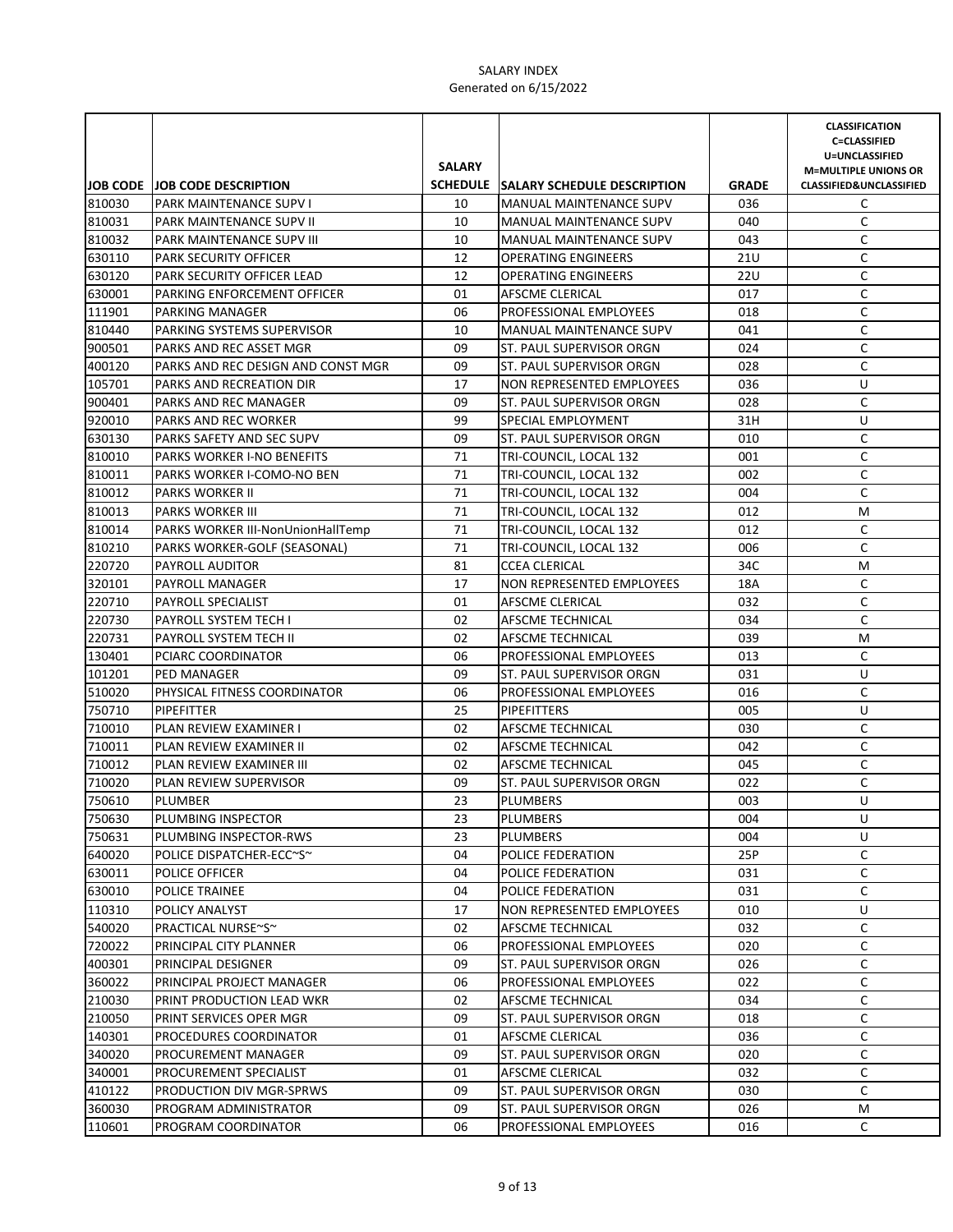|        |                                          |               |                                      |              | <b>CLASSIFICATION</b><br><b>C=CLASSIFIED</b>                      |
|--------|------------------------------------------|---------------|--------------------------------------|--------------|-------------------------------------------------------------------|
|        |                                          | <b>SALARY</b> |                                      |              | U=UNCLASSIFIED                                                    |
|        | <b>JOB CODE JOB CODE DESCRIPTION</b>     |               | SCHEDULE SALARY SCHEDULE DESCRIPTION | <b>GRADE</b> | <b>M=MULTIPLE UNIONS OR</b><br><b>CLASSIFIED&amp;UNCLASSIFIED</b> |
| 810030 | <b>PARK MAINTENANCE SUPV I</b>           | 10            | <b>MANUAL MAINTENANCE SUPV</b>       | 036          | C                                                                 |
| 810031 | <b>PARK MAINTENANCE SUPV II</b>          | 10            | <b>MANUAL MAINTENANCE SUPV</b>       | 040          | C                                                                 |
| 810032 | <b>PARK MAINTENANCE SUPV III</b>         | 10            | MANUAL MAINTENANCE SUPV              | 043          | C                                                                 |
| 630110 | <b>PARK SECURITY OFFICER</b>             | 12            | <b>OPERATING ENGINEERS</b>           | 21U          | C                                                                 |
| 630120 | PARK SECURITY OFFICER LEAD               | 12            | <b>OPERATING ENGINEERS</b>           | 22U          | C                                                                 |
| 630001 | PARKING ENFORCEMENT OFFICER              | 01            | AFSCME CLERICAL                      | 017          | C                                                                 |
| 111901 | <b>PARKING MANAGER</b>                   | 06            | PROFESSIONAL EMPLOYEES               | 018          | С                                                                 |
| 810440 | PARKING SYSTEMS SUPERVISOR               | 10            | <b>MANUAL MAINTENANCE SUPV</b>       | 041          | C                                                                 |
| 900501 | PARKS AND REC ASSET MGR                  | 09            | ST. PAUL SUPERVISOR ORGN             | 024          | С                                                                 |
| 400120 | PARKS AND REC DESIGN AND CONST MGR       | 09            | ST. PAUL SUPERVISOR ORGN             | 028          | C                                                                 |
| 105701 | PARKS AND RECREATION DIR                 | 17            | <b>NON REPRESENTED EMPLOYEES</b>     | 036          | U                                                                 |
| 900401 | PARKS AND REC MANAGER                    | 09            | ST. PAUL SUPERVISOR ORGN             | 028          | C                                                                 |
| 920010 | PARKS AND REC WORKER                     | 99            | SPECIAL EMPLOYMENT                   | 31H          | U                                                                 |
| 630130 | PARKS SAFETY AND SEC SUPV                | 09            | ST. PAUL SUPERVISOR ORGN             | 010          | С                                                                 |
| 810010 | PARKS WORKER I-NO BENEFITS               | 71            | TRI-COUNCIL, LOCAL 132               | 001          | $\mathsf C$                                                       |
| 810011 | PARKS WORKER I-COMO-NO BEN               | 71            | TRI-COUNCIL, LOCAL 132               | 002          | C                                                                 |
| 810012 | <b>PARKS WORKER II</b>                   | 71            | TRI-COUNCIL, LOCAL 132               | 004          | С                                                                 |
| 810013 | <b>PARKS WORKER III</b>                  | 71            | TRI-COUNCIL, LOCAL 132               | 012          | M                                                                 |
| 810014 | <b>PARKS WORKER III-NonUnionHallTemp</b> | 71            | TRI-COUNCIL, LOCAL 132               | 012          | C                                                                 |
| 810210 | PARKS WORKER-GOLF (SEASONAL)             | 71            | TRI-COUNCIL, LOCAL 132               | 006          | C                                                                 |
| 220720 | PAYROLL AUDITOR                          | 81            | <b>CCEA CLERICAL</b>                 | 34C          | М                                                                 |
| 320101 | PAYROLL MANAGER                          | 17            | NON REPRESENTED EMPLOYEES            | 18A          | С                                                                 |
| 220710 | <b>PAYROLL SPECIALIST</b>                | 01            | AFSCME CLERICAL                      | 032          | C                                                                 |
| 220730 | <b>PAYROLL SYSTEM TECH I</b>             | 02            | AFSCME TECHNICAL                     | 034          | C                                                                 |
| 220731 | PAYROLL SYSTEM TECH II                   | 02            | <b>AFSCME TECHNICAL</b>              | 039          | М                                                                 |
| 130401 | PCIARC COORDINATOR                       | 06            | <b>PROFESSIONAL EMPLOYEES</b>        | 013          | С                                                                 |
| 101201 | <b>PED MANAGER</b>                       | 09            | ST. PAUL SUPERVISOR ORGN             | 031          | U                                                                 |
| 510020 | PHYSICAL FITNESS COORDINATOR             | 06            | <b>PROFESSIONAL EMPLOYEES</b>        | 016          | C                                                                 |
| 750710 | PIPEFITTER                               | 25            | <b>PIPEFITTERS</b>                   | 005          | U                                                                 |
| 710010 | PLAN REVIEW EXAMINER I                   | 02            | AFSCME TECHNICAL                     | 030          | C                                                                 |
| 710011 | PLAN REVIEW EXAMINER II                  | 02            | AFSCME TECHNICAL                     | 042          | $\mathsf C$                                                       |
| 710012 | PLAN REVIEW EXAMINER III                 | 02            | AFSCME TECHNICAL                     | 045          | C                                                                 |
| 710020 | PLAN REVIEW SUPERVISOR                   | 09            | ST. PAUL SUPERVISOR ORGN             | 022          | C                                                                 |
| 750610 | <b>PLUMBER</b>                           | 23            | <b>PLUMBERS</b>                      | 003          | U                                                                 |
| 750630 | PLUMBING INSPECTOR                       | 23            | PLUMBERS                             | 004          | U                                                                 |
| 750631 | PLUMBING INSPECTOR-RWS                   | 23            | <b>PLUMBERS</b>                      | 004          | U                                                                 |
| 640020 | POLICE DISPATCHER-ECC~S~                 | 04            | POLICE FEDERATION                    | 25P          | C                                                                 |
| 630011 | POLICE OFFICER                           | 04            | POLICE FEDERATION                    | 031          | С                                                                 |
| 630010 | POLICE TRAINEE                           | 04            | POLICE FEDERATION                    | 031          | С                                                                 |
| 110310 | POLICY ANALYST                           | 17            | <b>NON REPRESENTED EMPLOYEES</b>     | 010          | U                                                                 |
| 540020 | PRACTICAL NURSE~S~                       | 02            | AFSCME TECHNICAL                     | 032          | С                                                                 |
| 720022 | PRINCIPAL CITY PLANNER                   | 06            | <b>PROFESSIONAL EMPLOYEES</b>        | 020          | С                                                                 |
| 400301 | PRINCIPAL DESIGNER                       | 09            | ST. PAUL SUPERVISOR ORGN             | 026          | С                                                                 |
| 360022 | PRINCIPAL PROJECT MANAGER                | 06            | PROFESSIONAL EMPLOYEES               | 022          | С                                                                 |
| 210030 | PRINT PRODUCTION LEAD WKR                | 02            | AFSCME TECHNICAL                     | 034          | С                                                                 |
| 210050 | PRINT SERVICES OPER MGR                  | 09            | ST. PAUL SUPERVISOR ORGN             | 018          | С                                                                 |
| 140301 | PROCEDURES COORDINATOR                   | 01            | AFSCME CLERICAL                      | 036          | С                                                                 |
| 340020 | PROCUREMENT MANAGER                      | 09            | ST. PAUL SUPERVISOR ORGN             | 020          | C                                                                 |
| 340001 | PROCUREMENT SPECIALIST                   | 01            | AFSCME CLERICAL                      | 032          | С                                                                 |
| 410122 | PRODUCTION DIV MGR-SPRWS                 | 09            | ST. PAUL SUPERVISOR ORGN             | 030          | С                                                                 |
| 360030 | PROGRAM ADMINISTRATOR                    | 09            | ST. PAUL SUPERVISOR ORGN             | 026          | М                                                                 |
| 110601 | PROGRAM COORDINATOR                      | 06            | PROFESSIONAL EMPLOYEES               | 016          | C                                                                 |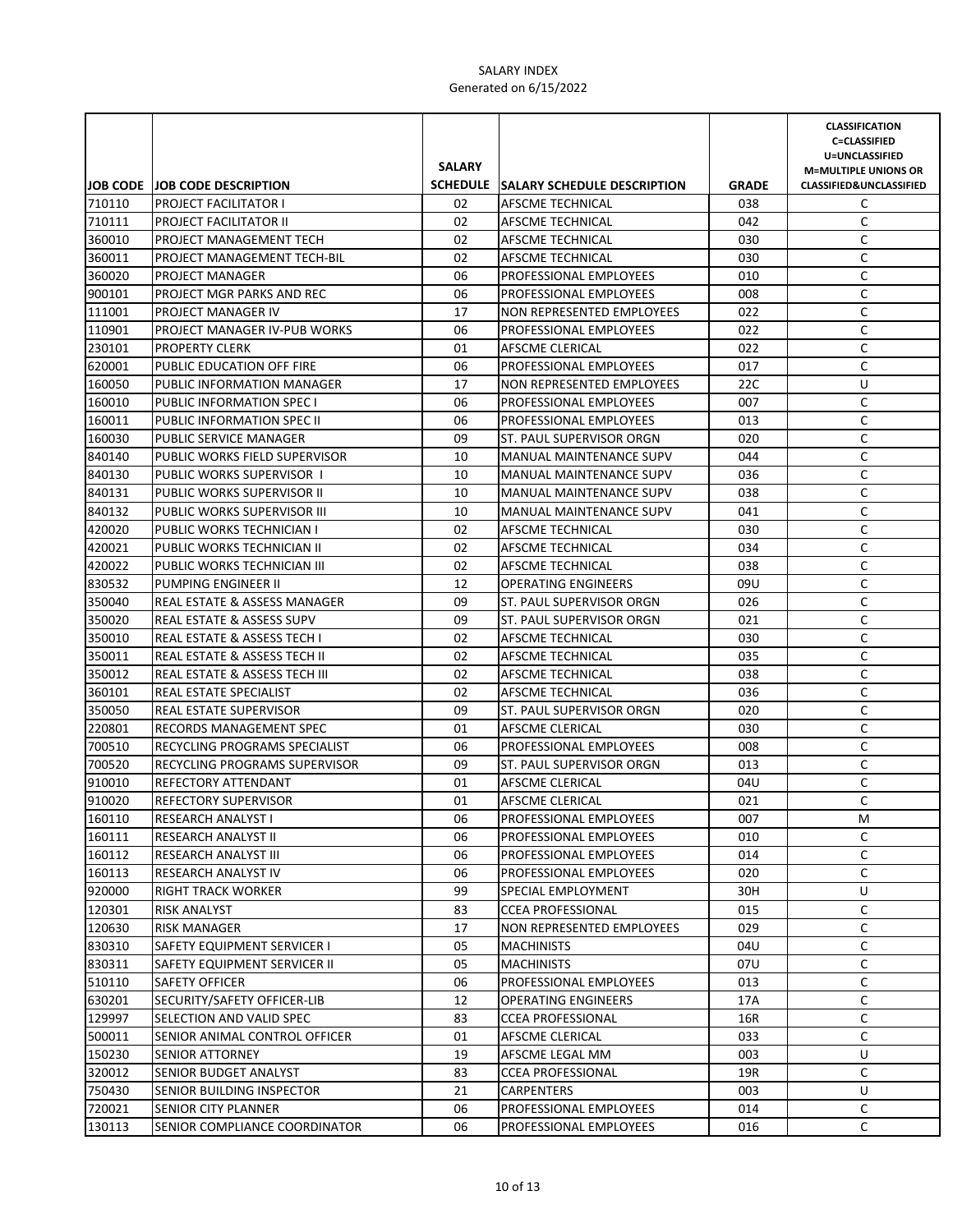|        |                                      |               |                                      |              | <b>CLASSIFICATION</b><br><b>C=CLASSIFIED</b>  |
|--------|--------------------------------------|---------------|--------------------------------------|--------------|-----------------------------------------------|
|        |                                      | <b>SALARY</b> |                                      |              | U=UNCLASSIFIED<br><b>M=MULTIPLE UNIONS OR</b> |
|        | <b>JOB CODE JOB CODE DESCRIPTION</b> |               | SCHEDULE SALARY SCHEDULE DESCRIPTION | <b>GRADE</b> | <b>CLASSIFIED&amp;UNCLASSIFIED</b>            |
| 710110 | <b>PROJECT FACILITATOR I</b>         | 02            | AFSCME TECHNICAL                     | 038          | C                                             |
| 710111 | PROJECT FACILITATOR II               | 02            | AFSCME TECHNICAL                     | 042          | C                                             |
| 360010 | PROJECT MANAGEMENT TECH              | 02            | AFSCME TECHNICAL                     | 030          | C                                             |
| 360011 | PROJECT MANAGEMENT TECH-BIL          | 02            | AFSCME TECHNICAL                     | 030          | C                                             |
| 360020 | PROJECT MANAGER                      | 06            | PROFESSIONAL EMPLOYEES               | 010          | C                                             |
| 900101 | PROJECT MGR PARKS AND REC            | 06            | PROFESSIONAL EMPLOYEES               | 008          | C                                             |
| 111001 | PROJECT MANAGER IV                   | 17            | NON REPRESENTED EMPLOYEES            | 022          | C                                             |
| 110901 | PROJECT MANAGER IV-PUB WORKS         | 06            | PROFESSIONAL EMPLOYEES               | 022          | С                                             |
| 230101 | <b>PROPERTY CLERK</b>                | 01            | AFSCME CLERICAL                      | 022          | C                                             |
| 620001 | PUBLIC EDUCATION OFF FIRE            | 06            | PROFESSIONAL EMPLOYEES               | 017          | С                                             |
| 160050 | PUBLIC INFORMATION MANAGER           | 17            | NON REPRESENTED EMPLOYEES            | 22C          | U                                             |
| 160010 | PUBLIC INFORMATION SPEC I            | 06            | <b>PROFESSIONAL EMPLOYEES</b>        | 007          | C                                             |
| 160011 | PUBLIC INFORMATION SPEC II           | 06            | PROFESSIONAL EMPLOYEES               | 013          | C                                             |
| 160030 | PUBLIC SERVICE MANAGER               | 09            | ST. PAUL SUPERVISOR ORGN             | 020          | C                                             |
| 840140 | PUBLIC WORKS FIELD SUPERVISOR        | 10            | <b>MANUAL MAINTENANCE SUPV</b>       | 044          | С                                             |
| 840130 | PUBLIC WORKS SUPERVISOR 1            | 10            | <b>MANUAL MAINTENANCE SUPV</b>       | 036          | C                                             |
| 840131 | PUBLIC WORKS SUPERVISOR II           | 10            | <b>MANUAL MAINTENANCE SUPV</b>       | 038          | C                                             |
| 840132 | PUBLIC WORKS SUPERVISOR III          | 10            | <b>MANUAL MAINTENANCE SUPV</b>       | 041          | С                                             |
| 420020 | PUBLIC WORKS TECHNICIAN I            | 02            | AFSCME TECHNICAL                     | 030          | C                                             |
| 420021 | PUBLIC WORKS TECHNICIAN II           | 02            | <b>AFSCME TECHNICAL</b>              | 034          | C                                             |
| 420022 | PUBLIC WORKS TECHNICIAN III          | 02            | AFSCME TECHNICAL                     | 038          | C                                             |
| 830532 | PUMPING ENGINEER II                  | 12            | <b>OPERATING ENGINEERS</b>           | 09U          | C                                             |
| 350040 | REAL ESTATE & ASSESS MANAGER         | 09            | ST. PAUL SUPERVISOR ORGN             | 026          | C                                             |
| 350020 | <b>REAL ESTATE &amp; ASSESS SUPV</b> | 09            | ST. PAUL SUPERVISOR ORGN             | 021          | C                                             |
| 350010 | REAL ESTATE & ASSESS TECH I          | 02            | <b>AFSCME TECHNICAL</b>              | 030          | С                                             |
| 350011 | REAL ESTATE & ASSESS TECH II         | 02            | AFSCME TECHNICAL                     | 035          | С                                             |
| 350012 | REAL ESTATE & ASSESS TECH III        | 02            | AFSCME TECHNICAL                     | 038          | С                                             |
| 360101 | REAL ESTATE SPECIALIST               | 02            | AFSCME TECHNICAL                     | 036          | С                                             |
| 350050 | <b>REAL ESTATE SUPERVISOR</b>        | 09            | ST. PAUL SUPERVISOR ORGN             | 020          | C                                             |
| 220801 | RECORDS MANAGEMENT SPEC              | 01            | AFSCME CLERICAL                      | 030          | C                                             |
| 700510 | RECYCLING PROGRAMS SPECIALIST        | 06            | PROFESSIONAL EMPLOYEES               | 008          | C                                             |
| 700520 | RECYCLING PROGRAMS SUPERVISOR        | 09            | ST. PAUL SUPERVISOR ORGN             | 013          | C                                             |
| 910010 | REFECTORY ATTENDANT                  | 01            | AFSCME CLERICAL                      | 04U          | C                                             |
| 910020 | <b>REFECTORY SUPERVISOR</b>          | 01            | <b>AFSCME CLERICAL</b>               | 021          | C                                             |
| 160110 | <b>RESEARCH ANALYST I</b>            | 06            | PROFESSIONAL EMPLOYEES               | 007          | М                                             |
| 160111 | RESEARCH ANALYST II                  | 06            | PROFESSIONAL EMPLOYEES               | 010          | С                                             |
| 160112 | <b>RESEARCH ANALYST III</b>          | 06            | <b>PROFESSIONAL EMPLOYEES</b>        | 014          | C                                             |
| 160113 | RESEARCH ANALYST IV                  | 06            | <b>PROFESSIONAL EMPLOYEES</b>        | 020          | С                                             |
| 920000 | RIGHT TRACK WORKER                   | 99            | SPECIAL EMPLOYMENT                   | 30H          | U                                             |
| 120301 | RISK ANALYST                         | 83            | <b>CCEA PROFESSIONAL</b>             | 015          | C                                             |
| 120630 | <b>RISK MANAGER</b>                  | 17            | NON REPRESENTED EMPLOYEES            | 029          | C                                             |
| 830310 | SAFETY EQUIPMENT SERVICER I          | 05            | <b>MACHINISTS</b>                    | 04U          | С                                             |
| 830311 | SAFETY EQUIPMENT SERVICER II         | 05            | <b>MACHINISTS</b>                    | 07U          | С                                             |
| 510110 | SAFETY OFFICER                       | 06            | PROFESSIONAL EMPLOYEES               | 013          | С                                             |
| 630201 | SECURITY/SAFETY OFFICER-LIB          | 12            | <b>OPERATING ENGINEERS</b>           | 17A          | С                                             |
| 129997 | SELECTION AND VALID SPEC             | 83            | <b>CCEA PROFESSIONAL</b>             | 16R          | С                                             |
| 500011 | SENIOR ANIMAL CONTROL OFFICER        | 01            | AFSCME CLERICAL                      | 033          | С                                             |
| 150230 | SENIOR ATTORNEY                      | 19            | AFSCME LEGAL MM                      | 003          | U                                             |
| 320012 | SENIOR BUDGET ANALYST                | 83            | <b>CCEA PROFESSIONAL</b>             | 19R          | C                                             |
| 750430 | SENIOR BUILDING INSPECTOR            | 21            | CARPENTERS                           | 003          | U                                             |
| 720021 | SENIOR CITY PLANNER                  | 06            | PROFESSIONAL EMPLOYEES               | 014          | C                                             |
| 130113 | SENIOR COMPLIANCE COORDINATOR        | 06            | PROFESSIONAL EMPLOYEES               | 016          | C                                             |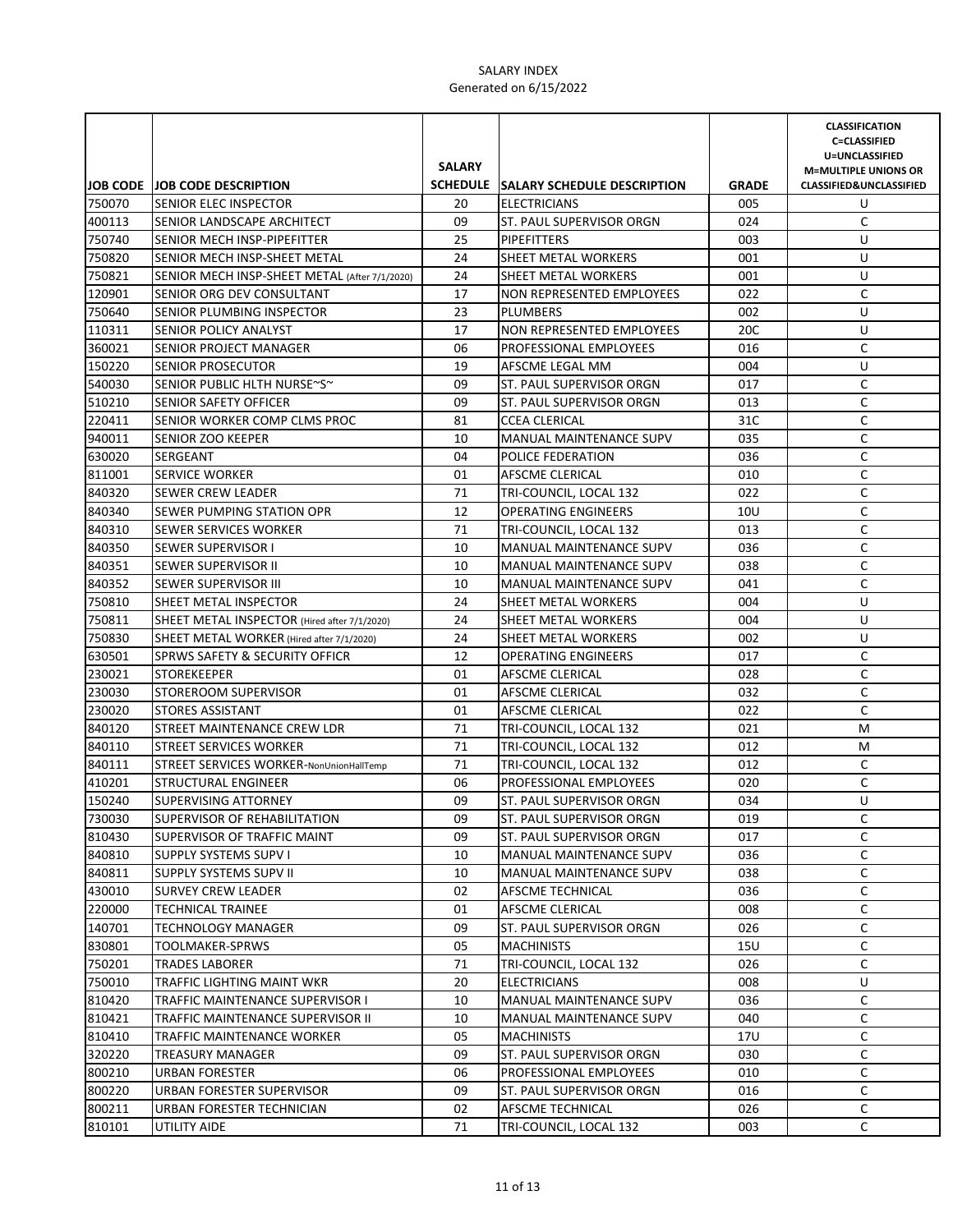|                  |                                               |               |                                                |                     | <b>CLASSIFICATION</b><br><b>C=CLASSIFIED</b>                      |
|------------------|-----------------------------------------------|---------------|------------------------------------------------|---------------------|-------------------------------------------------------------------|
|                  |                                               | <b>SALARY</b> |                                                |                     | U=UNCLASSIFIED                                                    |
|                  | <b>JOB CODE JOB CODE DESCRIPTION</b>          |               | SCHEDULE SALARY SCHEDULE DESCRIPTION           |                     | <b>M=MULTIPLE UNIONS OR</b><br><b>CLASSIFIED&amp;UNCLASSIFIED</b> |
| 750070           | <b>SENIOR ELEC INSPECTOR</b>                  | 20            | <b>ELECTRICIANS</b>                            | <b>GRADE</b><br>005 | U                                                                 |
|                  | SENIOR LANDSCAPE ARCHITECT                    | 09            |                                                | 024                 | C                                                                 |
| 400113<br>750740 | SENIOR MECH INSP-PIPEFITTER                   | 25            | ST. PAUL SUPERVISOR ORGN<br><b>PIPEFITTERS</b> | 003                 | U                                                                 |
| 750820           | SENIOR MECH INSP-SHEET METAL                  | 24            | SHEET METAL WORKERS                            | 001                 | U                                                                 |
| 750821           | SENIOR MECH INSP-SHEET METAL (After 7/1/2020) | 24            | SHEET METAL WORKERS                            | 001                 | U                                                                 |
| 120901           | SENIOR ORG DEV CONSULTANT                     | 17            | <b>NON REPRESENTED EMPLOYEES</b>               | 022                 | C                                                                 |
| 750640           | SENIOR PLUMBING INSPECTOR                     | 23            | <b>PLUMBERS</b>                                | 002                 | U                                                                 |
| 110311           | <b>SENIOR POLICY ANALYST</b>                  | 17            | <b>NON REPRESENTED EMPLOYEES</b>               | 20C                 | U                                                                 |
| 360021           | SENIOR PROJECT MANAGER                        | 06            | PROFESSIONAL EMPLOYEES                         | 016                 | C                                                                 |
| 150220           | <b>SENIOR PROSECUTOR</b>                      | 19            | AFSCME LEGAL MM                                | 004                 | U                                                                 |
| 540030           | SENIOR PUBLIC HLTH NURSE~S~                   | 09            | ST. PAUL SUPERVISOR ORGN                       | 017                 | C                                                                 |
| 510210           | <b>SENIOR SAFETY OFFICER</b>                  | 09            | ST. PAUL SUPERVISOR ORGN                       | 013                 | C                                                                 |
| 220411           | SENIOR WORKER COMP CLMS PROC                  | 81            | <b>CCEA CLERICAL</b>                           | 31C                 | C                                                                 |
| 940011           | <b>SENIOR ZOO KEEPER</b>                      | 10            | MANUAL MAINTENANCE SUPV                        | 035                 | C                                                                 |
| 630020           | SERGEANT                                      | 04            | POLICE FEDERATION                              | 036                 | $\mathsf C$                                                       |
| 811001           | <b>SERVICE WORKER</b>                         | 01            | AFSCME CLERICAL                                | 010                 | $\mathsf C$                                                       |
| 840320           | SEWER CREW LEADER                             | 71            | TRI-COUNCIL, LOCAL 132                         | 022                 | C                                                                 |
| 840340           | SEWER PUMPING STATION OPR                     | 12            | <b>OPERATING ENGINEERS</b>                     | 10U                 | С                                                                 |
| 840310           | <b>SEWER SERVICES WORKER</b>                  | 71            | TRI-COUNCIL, LOCAL 132                         | 013                 | C                                                                 |
| 840350           | <b>SEWER SUPERVISOR I</b>                     | 10            | MANUAL MAINTENANCE SUPV                        | 036                 | C                                                                 |
| 840351           | <b>SEWER SUPERVISOR II</b>                    | 10            | <b>MANUAL MAINTENANCE SUPV</b>                 | 038                 | C                                                                 |
| 840352           | <b>SEWER SUPERVISOR III</b>                   | 10            | MANUAL MAINTENANCE SUPV                        | 041                 | C                                                                 |
| 750810           | SHEET METAL INSPECTOR                         | 24            | SHEET METAL WORKERS                            | 004                 | U                                                                 |
| 750811           | SHEET METAL INSPECTOR (Hired after 7/1/2020)  | 24            | <b>SHEET METAL WORKERS</b>                     | 004                 | U                                                                 |
| 750830           | SHEET METAL WORKER (Hired after 7/1/2020)     | 24            | SHEET METAL WORKERS                            | 002                 | U                                                                 |
| 630501           | <b>SPRWS SAFETY &amp; SECURITY OFFICR</b>     | 12            | <b>OPERATING ENGINEERS</b>                     | 017                 | С                                                                 |
| 230021           | <b>STOREKEEPER</b>                            | 01            | AFSCME CLERICAL                                | 028                 | С                                                                 |
| 230030           | <b>STOREROOM SUPERVISOR</b>                   | 01            | AFSCME CLERICAL                                | 032                 | С                                                                 |
| 230020           | <b>STORES ASSISTANT</b>                       | 01            | AFSCME CLERICAL                                | 022                 | C                                                                 |
| 840120           | STREET MAINTENANCE CREW LDR                   | 71            | TRI-COUNCIL, LOCAL 132                         | 021                 | M                                                                 |
| 840110           | STREET SERVICES WORKER                        | 71            | TRI-COUNCIL, LOCAL 132                         | 012                 | M                                                                 |
| 840111           | STREET SERVICES WORKER-NonUnionHallTemp       | 71            | TRI-COUNCIL, LOCAL 132                         | 012                 | C                                                                 |
| 410201           | STRUCTURAL ENGINEER                           | 06            | PROFESSIONAL EMPLOYEES                         | 020                 | C                                                                 |
| 150240           | <b>SUPERVISING ATTORNEY</b>                   | 09            | ST. PAUL SUPERVISOR ORGN                       | 034                 | U                                                                 |
| 730030           | SUPERVISOR OF REHABILITATION                  | 09            | ST. PAUL SUPERVISOR ORGN                       | 019                 | С                                                                 |
| 810430           | SUPERVISOR OF TRAFFIC MAINT                   | 09            | ST. PAUL SUPERVISOR ORGN                       | 017                 | C                                                                 |
| 840810           | <b>SUPPLY SYSTEMS SUPV I</b>                  | 10            | <b>MANUAL MAINTENANCE SUPV</b>                 | 036                 | C                                                                 |
| 840811           | SUPPLY SYSTEMS SUPV II                        | 10            | <b>MANUAL MAINTENANCE SUPV</b>                 | 038                 | С                                                                 |
| 430010           | <b>SURVEY CREW LEADER</b>                     | 02            | AFSCME TECHNICAL                               | 036                 | С                                                                 |
| 220000           | <b>TECHNICAL TRAINEE</b>                      | 01            | AFSCME CLERICAL                                | 008                 | C                                                                 |
| 140701           | TECHNOLOGY MANAGER                            | 09            | ST. PAUL SUPERVISOR ORGN                       | 026                 | C                                                                 |
| 830801           | TOOLMAKER-SPRWS                               | 05            | <b>MACHINISTS</b>                              | 15U                 | С                                                                 |
| 750201           | TRADES LABORER                                | 71            | TRI-COUNCIL, LOCAL 132                         | 026                 | С                                                                 |
| 750010           | TRAFFIC LIGHTING MAINT WKR                    | 20            | <b>ELECTRICIANS</b>                            | 008                 | U                                                                 |
| 810420           | TRAFFIC MAINTENANCE SUPERVISOR I              | 10            | <b>MANUAL MAINTENANCE SUPV</b>                 | 036                 | С                                                                 |
| 810421           | TRAFFIC MAINTENANCE SUPERVISOR II             | 10            | MANUAL MAINTENANCE SUPV                        | 040                 | С                                                                 |
| 810410           | TRAFFIC MAINTENANCE WORKER                    | 05            | <b>MACHINISTS</b>                              | 17U                 | С                                                                 |
| 320220           | TREASURY MANAGER                              | 09            | ST. PAUL SUPERVISOR ORGN                       | 030                 | С                                                                 |
| 800210           | URBAN FORESTER                                | 06            | PROFESSIONAL EMPLOYEES                         | 010                 | C                                                                 |
| 800220           | URBAN FORESTER SUPERVISOR                     | 09            | ST. PAUL SUPERVISOR ORGN                       | 016                 | C                                                                 |
| 800211           | URBAN FORESTER TECHNICIAN                     | 02            | AFSCME TECHNICAL                               | 026                 | C                                                                 |
| 810101           | UTILITY AIDE                                  | 71            | TRI-COUNCIL, LOCAL 132                         | 003                 | C                                                                 |
|                  |                                               |               |                                                |                     |                                                                   |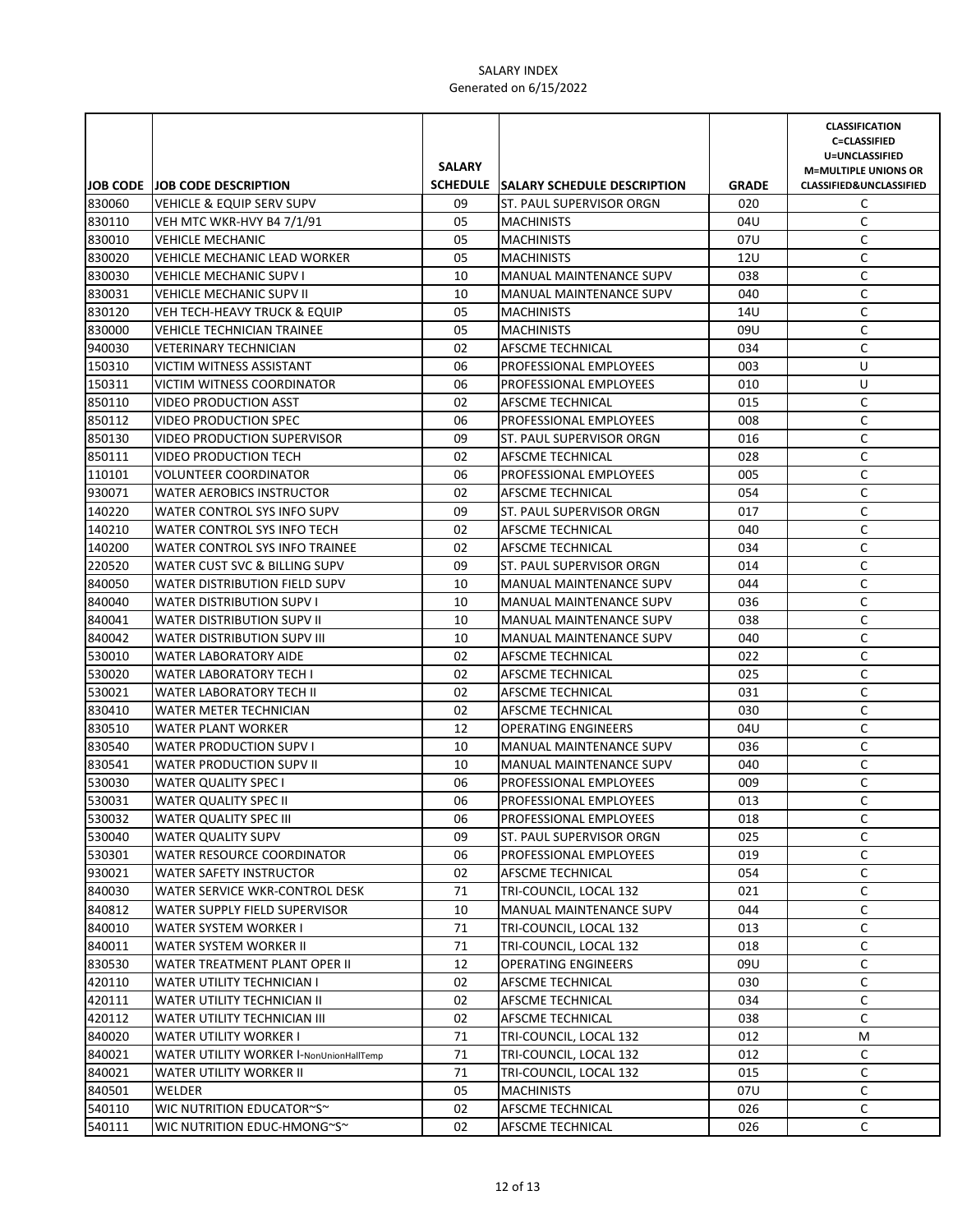|        |                                         | <b>SALARY</b> |                                      |              | <b>CLASSIFICATION</b><br><b>C=CLASSIFIED</b><br>U=UNCLASSIFIED<br><b>M=MULTIPLE UNIONS OR</b> |
|--------|-----------------------------------------|---------------|--------------------------------------|--------------|-----------------------------------------------------------------------------------------------|
|        | <b>JOB CODE JOB CODE DESCRIPTION</b>    |               | SCHEDULE SALARY SCHEDULE DESCRIPTION | <b>GRADE</b> | <b>CLASSIFIED&amp;UNCLASSIFIED</b>                                                            |
| 830060 | <b>VEHICLE &amp; EQUIP SERV SUPV</b>    | 09            | ST. PAUL SUPERVISOR ORGN             | 020          | C                                                                                             |
| 830110 | VEH MTC WKR-HVY B4 7/1/91               | 05            | <b>MACHINISTS</b>                    | 04U          | C                                                                                             |
| 830010 | <b>VEHICLE MECHANIC</b>                 | 05            | <b>MACHINISTS</b>                    | 07U          | C                                                                                             |
| 830020 | <b>VEHICLE MECHANIC LEAD WORKER</b>     | 05            | <b>MACHINISTS</b>                    | 12U          | C                                                                                             |
| 830030 | <b>VEHICLE MECHANIC SUPV I</b>          | 10            | MANUAL MAINTENANCE SUPV              | 038          | C                                                                                             |
| 830031 | <b>VEHICLE MECHANIC SUPV II</b>         | 10            | <b>MANUAL MAINTENANCE SUPV</b>       | 040          | C                                                                                             |
| 830120 | <b>VEH TECH-HEAVY TRUCK &amp; EQUIP</b> | 05            | <b>MACHINISTS</b>                    | 14U          | C                                                                                             |
| 830000 | VEHICLE TECHNICIAN TRAINEE              | 05            | <b>MACHINISTS</b>                    | 09U          | C                                                                                             |
| 940030 | <b>VETERINARY TECHNICIAN</b>            | 02            | AFSCME TECHNICAL                     | 034          | C                                                                                             |
| 150310 | VICTIM WITNESS ASSISTANT                | 06            | <b>PROFESSIONAL EMPLOYEES</b>        | 003          | U                                                                                             |
| 150311 | <b>VICTIM WITNESS COORDINATOR</b>       | 06            | <b>PROFESSIONAL EMPLOYEES</b>        | 010          | U                                                                                             |
| 850110 | VIDEO PRODUCTION ASST                   | 02            | AFSCME TECHNICAL                     | 015          | C                                                                                             |
| 850112 | <b>VIDEO PRODUCTION SPEC</b>            | 06            | PROFESSIONAL EMPLOYEES               | 008          | C                                                                                             |
| 850130 | <b>VIDEO PRODUCTION SUPERVISOR</b>      | 09            | ST. PAUL SUPERVISOR ORGN             | 016          | C                                                                                             |
| 850111 | <b>VIDEO PRODUCTION TECH</b>            | 02            | AFSCME TECHNICAL                     | 028          | C                                                                                             |
| 110101 | <b>VOLUNTEER COORDINATOR</b>            | 06            | PROFESSIONAL EMPLOYEES               | 005          | C                                                                                             |
| 930071 | <b>WATER AEROBICS INSTRUCTOR</b>        | 02            | AFSCME TECHNICAL                     | 054          | C                                                                                             |
| 140220 | WATER CONTROL SYS INFO SUPV             | 09            | ST. PAUL SUPERVISOR ORGN             | 017          | C                                                                                             |
| 140210 | WATER CONTROL SYS INFO TECH             | 02            | <b>AFSCME TECHNICAL</b>              | 040          | C                                                                                             |
| 140200 | WATER CONTROL SYS INFO TRAINEE          | 02            | AFSCME TECHNICAL                     | 034          | C                                                                                             |
| 220520 | WATER CUST SVC & BILLING SUPV           | 09            | ST. PAUL SUPERVISOR ORGN             | 014          | C                                                                                             |
| 840050 | WATER DISTRIBUTION FIELD SUPV           | 10            | <b>MANUAL MAINTENANCE SUPV</b>       | 044          | C                                                                                             |
| 840040 | <b>WATER DISTRIBUTION SUPV I</b>        | 10            | <b>MANUAL MAINTENANCE SUPV</b>       | 036          | C                                                                                             |
| 840041 | <b>WATER DISTRIBUTION SUPV II</b>       | 10            | <b>MANUAL MAINTENANCE SUPV</b>       | 038          | C                                                                                             |
| 840042 | WATER DISTRIBUTION SUPV III             | 10            | <b>MANUAL MAINTENANCE SUPV</b>       | 040          | C                                                                                             |
| 530010 | <b>WATER LABORATORY AIDE</b>            | 02            | AFSCME TECHNICAL                     | 022          | C                                                                                             |
| 530020 | <b>WATER LABORATORY TECH I</b>          | 02            | AFSCME TECHNICAL                     | 025          | C                                                                                             |
| 530021 | <b>WATER LABORATORY TECH II</b>         | 02            | AFSCME TECHNICAL                     | 031          | $\mathsf C$                                                                                   |
| 830410 | WATER METER TECHNICIAN                  | 02            | AFSCME TECHNICAL                     | 030          | $\mathsf C$                                                                                   |
| 830510 | WATER PLANT WORKER                      | 12            | <b>OPERATING ENGINEERS</b>           | 04U          | C                                                                                             |
| 830540 | <b>WATER PRODUCTION SUPV I</b>          | 10            | MANUAL MAINTENANCE SUPV              | 036          | $\mathsf C$                                                                                   |
| 830541 | WATER PRODUCTION SUPV II                | 10            | <b>MANUAL MAINTENANCE SUPV</b>       | 040          | C                                                                                             |
| 530030 | <b>WATER QUALITY SPEC I</b>             | 06            | PROFESSIONAL EMPLOYEES               | 009          | C                                                                                             |
| 530031 | <b>WATER QUALITY SPEC II</b>            | 06            | PROFESSIONAL EMPLOYEES               | 013          | C                                                                                             |
| 530032 | WATER QUALITY SPEC III                  | 06            | PROFESSIONAL EMPLOYEES               | 018          | C                                                                                             |
| 530040 | <b>WATER QUALITY SUPV</b>               | 09            | ST. PAUL SUPERVISOR ORGN             | 025          | C                                                                                             |
| 530301 | WATER RESOURCE COORDINATOR              | 06            | <b>PROFESSIONAL EMPLOYEES</b>        | 019          | С                                                                                             |
| 930021 | <b>WATER SAFETY INSTRUCTOR</b>          | 02            | AFSCME TECHNICAL                     | 054          | С                                                                                             |
| 840030 | WATER SERVICE WKR-CONTROL DESK          | 71            | TRI-COUNCIL, LOCAL 132               | 021          | C                                                                                             |
| 840812 | WATER SUPPLY FIELD SUPERVISOR           | 10            | MANUAL MAINTENANCE SUPV              | 044          | C                                                                                             |
| 840010 | WATER SYSTEM WORKER I                   | 71            | TRI-COUNCIL, LOCAL 132               | 013          | C                                                                                             |
| 840011 | WATER SYSTEM WORKER II                  | 71            | TRI-COUNCIL, LOCAL 132               | 018          | C                                                                                             |
| 830530 | WATER TREATMENT PLANT OPER II           | 12            | <b>OPERATING ENGINEERS</b>           | 09U          | С                                                                                             |
| 420110 | <b>WATER UTILITY TECHNICIAN I</b>       | 02            | AFSCME TECHNICAL                     | 030          | С                                                                                             |
| 420111 | WATER UTILITY TECHNICIAN II             | 02            | AFSCME TECHNICAL                     | 034          | С                                                                                             |
| 420112 | WATER UTILITY TECHNICIAN III            | 02            | AFSCME TECHNICAL                     | 038          | C                                                                                             |
| 840020 | WATER UTILITY WORKER I                  | 71            | TRI-COUNCIL, LOCAL 132               | 012          | М                                                                                             |
| 840021 | WATER UTILITY WORKER I-NonUnionHallTemp | 71            | TRI-COUNCIL, LOCAL 132               | 012          | C                                                                                             |
| 840021 | WATER UTILITY WORKER II                 | 71            | TRI-COUNCIL, LOCAL 132               | 015          | C                                                                                             |
| 840501 | WELDER                                  | 05            | <b>MACHINISTS</b>                    | 07U          | C                                                                                             |
| 540110 | WIC NUTRITION EDUCATOR~S~               | 02            | AFSCME TECHNICAL                     | 026          | C                                                                                             |
| 540111 | WIC NUTRITION EDUC-HMONG~S~             | 02            | AFSCME TECHNICAL                     | 026          | С                                                                                             |